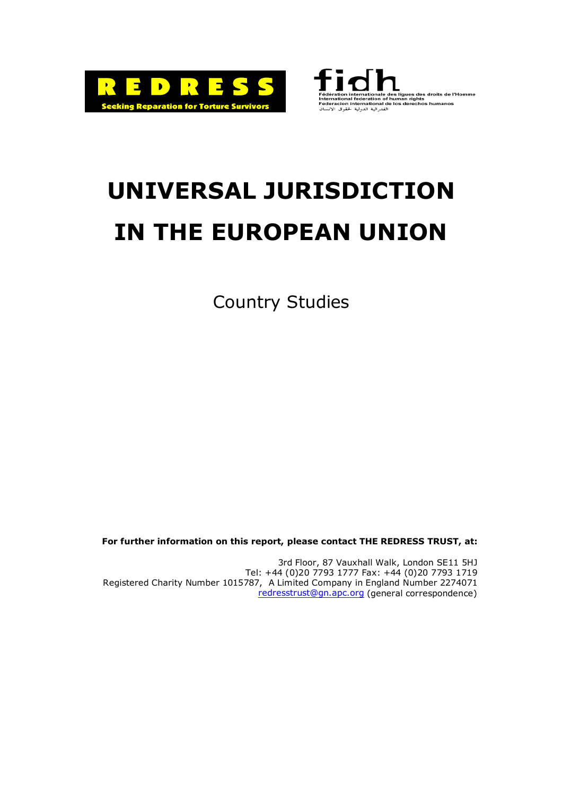



# **UNIVERSAL JURISDICTION IN THE EUROPEAN UNION**

Country Studies

**For further information on this report, please contact THE REDRESS TRUST, at:** 

3rd Floor, 87 Vauxhall Walk, London SE11 5HJ Tel: +44 (0)20 7793 1777 Fax: +44 (0)20 7793 1719 Registered Charity Number 1015787, A Limited Company in England Number 2274071 [redresstrust@gn.apc.org](mailto:redresstrust@gn.apc.org) (general correspondence)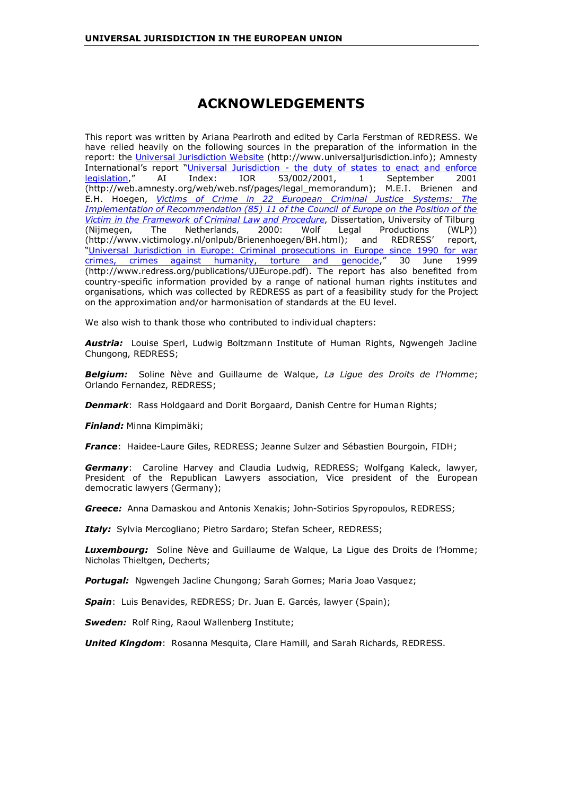# **ACKNOWLEDGEMENTS**

This report was written by Ariana Pearlroth and edited by Carla Ferstman of REDRESS. We have relied heavily on the following sources in the preparation of the information in the report: the [Universal Jurisdiction Website](http://www.universaljurisdiction.info/) (http://www.universaljurisdiction.info); Amnesty International's report "[Universal Jurisdiction - the duty of states to enact and enforce](http://web.amnesty.org/web/web.nsf/pages/legal_memorandum)  [legislation,](http://web.amnesty.org/web/web.nsf/pages/legal_memorandum)" AI Index: IOR 53/002/2001, 1 September 2001 (http://web.amnesty.org/web/web.nsf/pages/legal\_memorandum); M.E.I. Brienen and E.H. Hoegen, *[Victims of Crime in 22 European Criminal Justice Systems: The](http://www.victimology.nl/onlpub/Brienenhoegen/BH.html)  [Implementation of Recommendation \(85\) 11 of the Council of Europe on the Position of the](http://www.victimology.nl/onlpub/Brienenhoegen/BH.html)  [Victim in the Framework of Criminal Law and Procedure](http://www.victimology.nl/onlpub/Brienenhoegen/BH.html)*, Dissertation, University of Tilburg (Nijmegen, The Netherlands, 2000: Wolf Legal Productions (WLP)) (http://www.victimology.nl/onlpub/Brienenhoegen/BH.html); and REDRESS' report, ["Universal Jurisdiction in Europe: Criminal prosecutions in Europe since 1990 for war](http://www.redress.org/publications/UJEurope.pdf)  [crimes, crimes against humanity, torture and genocide,](http://www.redress.org/publications/UJEurope.pdf)" 30 June 1999 (http://www.redress.org/publications/UJEurope.pdf). The report has also benefited from country-specific information provided by a range of national human rights institutes and organisations, which was collected by REDRESS as part of a feasibility study for the Project on the approximation and/or harmonisation of standards at the EU level.

We also wish to thank those who contributed to individual chapters:

*Austria:* Louise Sperl, Ludwig Boltzmann Institute of Human Rights, Ngwengeh Jacline Chungong, REDRESS;

*Belgium:* Soline Nève and Guillaume de Walque, *La Ligue des Droits de l'Homme*; Orlando Fernandez, REDRESS;

**Denmark:** Rass Holdgaard and Dorit Borgaard, Danish Centre for Human Rights;

*Finland:* Minna Kimpimäki;

*France*: Haidee-Laure Giles, REDRESS; Jeanne Sulzer and Sébastien Bourgoin, FIDH;

*Germany*: Caroline Harvey and Claudia Ludwig, REDRESS; Wolfgang Kaleck, lawyer, President of the Republican Lawyers association, Vice president of the European democratic lawyers (Germany);

*Greece:* Anna Damaskou and Antonis Xenakis; John-Sotirios Spyropoulos, REDRESS;

*Italy:* Sylvia Mercogliano; Pietro Sardaro; Stefan Scheer, REDRESS;

*Luxembourg:* Soline Nève and Guillaume de Walque, La Ligue des Droits de l'Homme; Nicholas Thieltgen, Decherts;

*Portugal:* Ngwengeh Jacline Chungong; Sarah Gomes; Maria Joao Vasquez;

*Spain*: Luis Benavides, REDRESS; Dr. Juan E. Garcés, lawyer (Spain);

*Sweden:* Rolf Ring, Raoul Wallenberg Institute;

*United Kingdom*: Rosanna Mesquita, Clare Hamill, and Sarah Richards, REDRESS.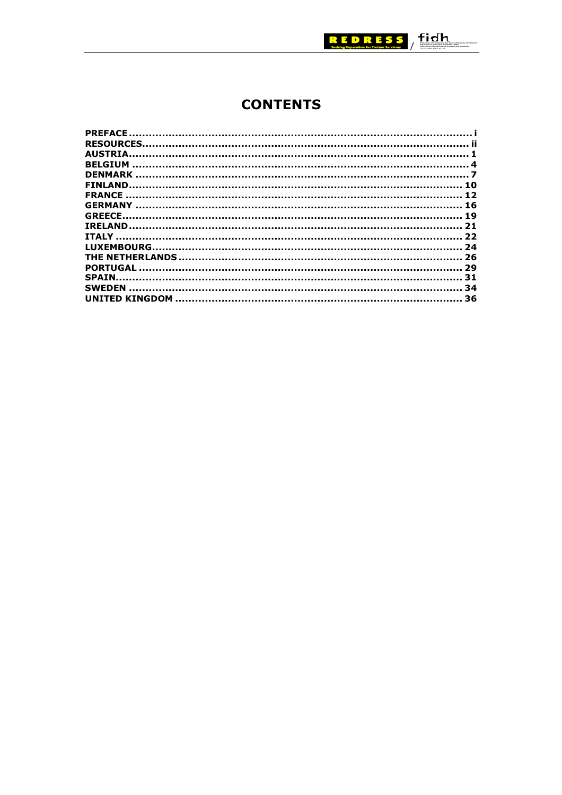

# **CONTENTS**

| <b>DENMARK</b> |    |
|----------------|----|
|                |    |
|                |    |
|                |    |
| <b>GREECE.</b> |    |
|                |    |
|                |    |
|                |    |
|                |    |
|                |    |
| <b>SPAIN.</b>  |    |
| <b>SWEDEN</b>  | 34 |
|                | 36 |
|                |    |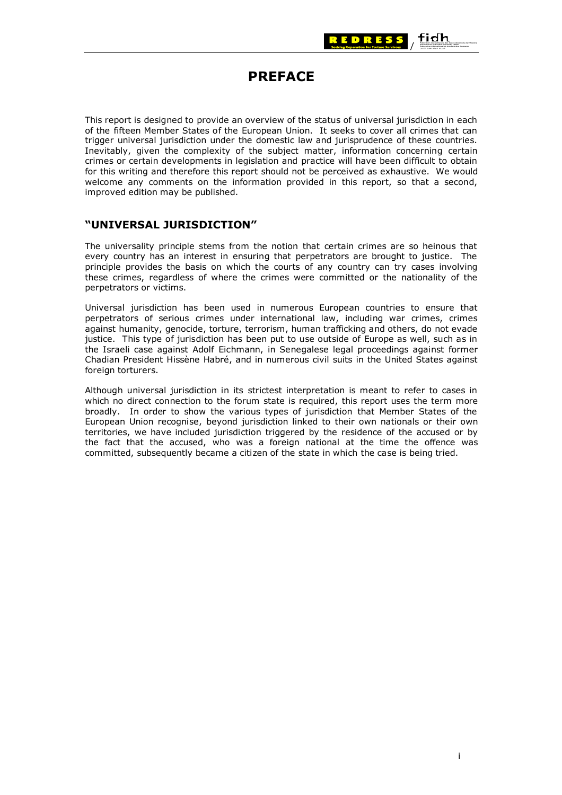

# **PREFACE**

<span id="page-4-0"></span>This report is designed to provide an overview of the status of universal jurisdiction in each of the fifteen Member States of the European Union. It seeks to cover all crimes that can trigger universal jurisdiction under the domestic law and jurisprudence of these countries. Inevitably, given the complexity of the subject matter, information concerning certain crimes or certain developments in legislation and practice will have been difficult to obtain for this writing and therefore this report should not be perceived as exhaustive. We would welcome any comments on the information provided in this report, so that a second, improved edition may be published.

## **"UNIVERSAL JURISDICTION"**

The universality principle stems from the notion that certain crimes are so heinous that every country has an interest in ensuring that perpetrators are brought to justice. The principle provides the basis on which the courts of any country can try cases involving these crimes, regardless of where the crimes were committed or the nationality of the perpetrators or victims.

Universal jurisdiction has been used in numerous European countries to ensure that perpetrators of serious crimes under international law, including war crimes, crimes against humanity, genocide, torture, terrorism, human trafficking and others, do not evade justice. This type of jurisdiction has been put to use outside of Europe as well, such as in the Israeli case against Adolf Eichmann, in Senegalese legal proceedings against former Chadian President Hissène Habré, and in numerous civil suits in the United States against foreign torturers.

Although universal jurisdiction in its strictest interpretation is meant to refer to cases in which no direct connection to the forum state is required, this report uses the term more broadly. In order to show the various types of jurisdiction that Member States of the European Union recognise, beyond jurisdiction linked to their own nationals or their own territories, we have included jurisdiction triggered by the residence of the accused or by the fact that the accused, who was a foreign national at the time the offence was committed, subsequently became a citizen of the state in which the case is being tried.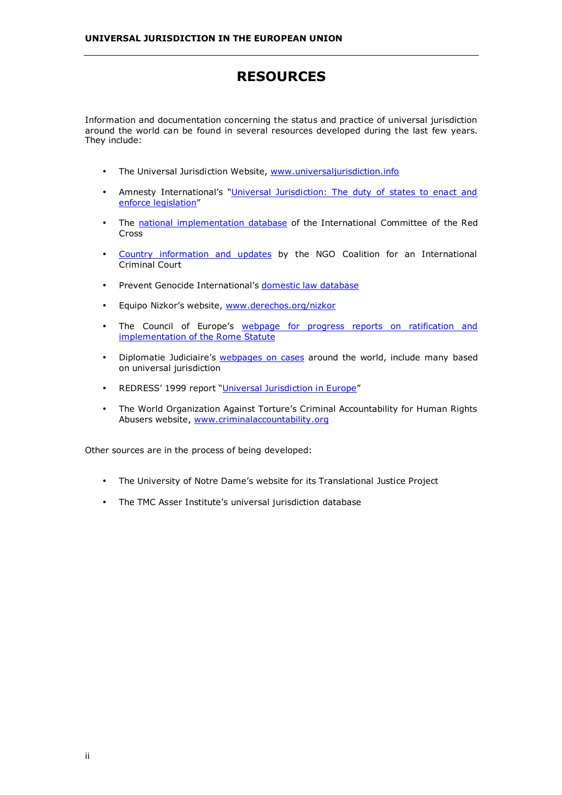# **RESOURCES**

<span id="page-5-0"></span>Information and documentation concerning the status and practice of universal jurisdiction around the world can be found in several resources developed during the last few years. They include:

- The Universal Jurisdiction Website, [www.universaljurisdiction.info](http://www.universaljurisdiction.info/)
- Amnesty International's "[Universal Jurisdiction: The duty of states to enact and](http://web.amnesty.org/web/web.nsf/pages/legal_memorandum)  [enforce legislation"](http://web.amnesty.org/web/web.nsf/pages/legal_memorandum)
- The [national implementation database](http://www.icrc.org/ihl-nat) of the International Committee of the Red Cross
- [Country information and updates](http://www.iccnow.org/) by the NGO Coalition for an International Criminal Court
- Prevent Genocide International's [domestic law database](http://preventgenocide.org/law/domestic)
- Equipo Nizkor's website, [www.derechos.org/nizkor](http://www.derechos.org/nizkor)
- The Council of Europe's [webpage for progress reports on ratification and](http://legal.coe.int/icc/Default.asp?fd=docs&fn=Docs.htm)  [implementation of the Rome Statute](http://legal.coe.int/icc/Default.asp?fd=docs&fn=Docs.htm)
- Diplomatie Judiciaire's [webpages on cases](http://www.diplomatiejudiciaire.com/Sommaire.htm) around the world, include many based on universal jurisdiction
- REDRESS' 1999 report "[Universal Jurisdiction in Europe"](http://www.redress.org/publications/UJEurope.pdf)
- The World Organization Against Torture's Criminal Accountability for Human Rights Abusers website, [www.criminalaccountability.org](http://www.criminalaccountability.org/)

Other sources are in the process of being developed:

- The University of Notre Dame's website for its Translational Justice Project
- The TMC Asser Institute's universal jurisdiction database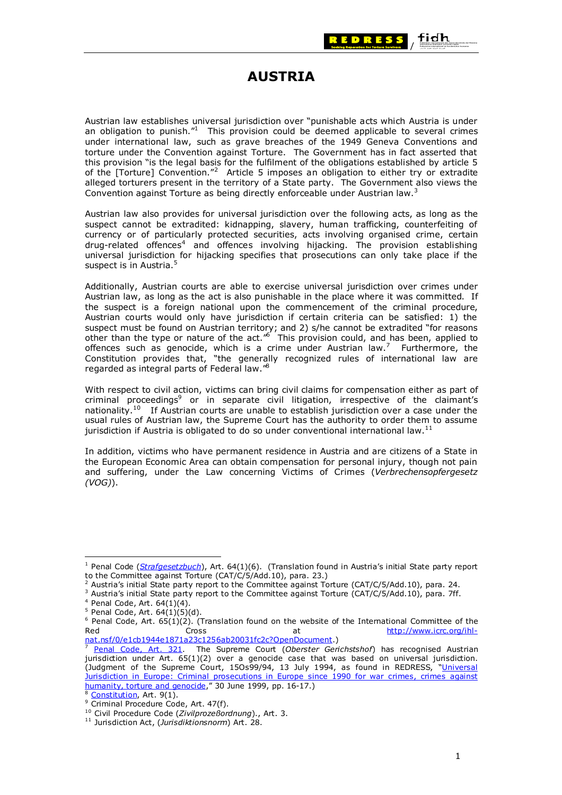

# **AUSTRIA**

<span id="page-6-0"></span>Austrian law establishes universal jurisdiction over "punishable acts which Austria is under an obligation to punish. $11$  This provision could be deemed applicable to several crimes under international law, such as grave breaches of the 1949 Geneva Conventions and torture under the Convention against Torture. The Government has in fact asserted that this provision "is the legal basis for the fulfilment of the obligations established by article 5 of the [Torture] Convention."<sup>2</sup> Article 5 imposes an obligation to either try or extradite alleged torturers present in the territory of a State party. The Government also views the Convention against Torture as being directly enforceable under Austrian law.<sup>3</sup>

Austrian law also provides for universal jurisdiction over the following acts, as long as the suspect cannot be extradited: kidnapping, slavery, human trafficking, counterfeiting of currency or of particularly protected securities, acts involving organised crime, certain  $drug-related$  offences<sup>4</sup> and offences involving hijacking. The provision establishing universal jurisdiction for hijacking specifies that prosecutions can only take place if the suspect is in Austria.<sup>5</sup>

Additionally, Austrian courts are able to exercise universal jurisdiction over crimes under Austrian law, as long as the act is also punishable in the place where it was committed. If the suspect is a foreign national upon the commencement of the criminal procedure, Austrian courts would only have jurisdiction if certain criteria can be satisfied: 1) the suspect must be found on Austrian territory; and 2) s/he cannot be extradited "for reasons other than the type or nature of the act."<sup>6</sup> This provision could, and has been, applied to offences such as genocide, which is a crime under Austrian law.<sup>7</sup> Furthermore, the Constitution provides that, "the generally recognized rules of international law are regarded as integral parts of Federal law."8

With respect to civil action, victims can bring civil claims for compensation either as part of criminal proceedings<sup>9</sup> or in separate civil litigation, irrespective of the claimant's nationality.<sup>10</sup> If Austrian courts are unable to establish jurisdiction over a case under the usual rules of Austrian law, the Supreme Court has the authority to order them to assume jurisdiction if Austria is obligated to do so under conventional international law.<sup>11</sup>

In addition, victims who have permanent residence in Austria and are citizens of a State in the European Economic Area can obtain compensation for personal injury, though not pain and suffering, under the Law concerning Victims of Crimes (*Verbrechensopfergesetz (VOG)*).

<sup>1</sup> Penal Code (*[Strafgesetzbuch](http://www.sbg.ac.at/ssk/docs/stgb/stgb_index.htm)*), Art. 64(1)(6). (Translation found in Austria's initial State party report to the Committee against Torture (CAT/C/5/Add.10), para. 23.)

<sup>&</sup>lt;sup>2</sup> Austria's initial State party report to the Committee against Torture (CAT/C/5/Add.10), para. 24.<br><sup>3</sup> Austria's initial State party report to the Committee against Torture (CAT/C/5/Add.10), para. 7ff.<br><sup>4</sup> Penal Code, Red Cross at http://www.icrc.org/ihl-<br>nat.nsf/0/e1cb1944e1871a23c1256ab20031fc2c?OpenDocument.)

[Penal Code, Art. 321](http://www.preventgenocide.org/de/recht/strafgesetz/oesterreich.htm). The Supreme Court (Oberster Gerichstshof) has recognised Austrian jurisdiction under Art. 65(1)(2) over a genocide case that was based on universal jurisdiction. (Judgment of the Supreme Court, 15Os99/94, 13 July 1994, as found in REDRESS, "Universal Jurisdiction in Europe: Criminal prosecutions in Europe since 1990 for war crimes, crimes against<br>humanity, torture and genocide," 30 June 1999, pp. 16-17.)

<sup>&</sup>lt;sup>8</sup> Constitution, Art. 9(1).<br>
<sup>9</sup> Criminal Procedure Code, Art. 47(f).<br>
<sup>10</sup> Civil Procedure Code (*Zivilprozeßordnung*)., Art. 3.<br>
<sup>11</sup> Jurisdiction Act, (*Jurisdiktionsnorm*) Art. 28.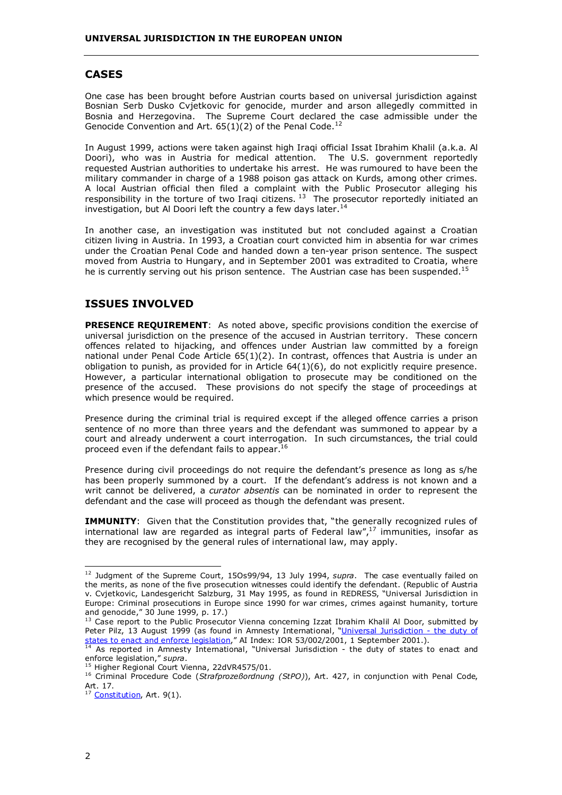### **CASES**

One case has been brought before Austrian courts based on universal jurisdiction against Bosnian Serb Dusko Cvjetkovic for genocide, murder and arson allegedly committed in Bosnia and Herzegovina. The Supreme Court declared the case admissible under the Genocide Convention and Art.  $65(1)(2)$  of the Penal Code.<sup>12</sup>

In August 1999, actions were taken against high Iraqi official Issat Ibrahim Khalil (a.k.a. Al Doori), who was in Austria for medical attention. The U.S. government reportedly requested Austrian authorities to undertake his arrest. He was rumoured to have been the military commander in charge of a 1988 poison gas attack on Kurds, among other crimes. A local Austrian official then filed a complaint with the Public Prosecutor alleging his responsibility in the torture of two Iraqi citizens.<sup>13</sup> The prosecutor reportedly initiated an investigation, but Al Doori left the country a few days later.<sup>14</sup>

In another case, an investigation was instituted but not concluded against a Croatian citizen living in Austria. In 1993, a Croatian court convicted him in absentia for war crimes under the Croatian Penal Code and handed down a ten-year prison sentence. The suspect moved from Austria to Hungary, and in September 2001 was extradited to Croatia, where he is currently serving out his prison sentence. The Austrian case has been suspended.<sup>15</sup>

## **ISSUES INVOLVED**

**PRESENCE REQUIREMENT**: As noted above, specific provisions condition the exercise of universal jurisdiction on the presence of the accused in Austrian territory. These concern offences related to hijacking, and offences under Austrian law committed by a foreign national under Penal Code Article 65(1)(2). In contrast, offences that Austria is under an obligation to punish, as provided for in Article 64(1)(6), do not explicitly require presence. However, a particular international obligation to prosecute may be conditioned on the presence of the accused. These provisions do not specify the stage of proceedings at which presence would be required.

Presence during the criminal trial is required except if the alleged offence carries a prison sentence of no more than three years and the defendant was summoned to appear by a court and already underwent a court interrogation. In such circumstances, the trial could proceed even if the defendant fails to appear.<sup>16</sup>

Presence during civil proceedings do not require the defendant's presence as long as s/he has been properly summoned by a court. If the defendant's address is not known and a writ cannot be delivered, a *curator absentis* can be nominated in order to represent the defendant and the case will proceed as though the defendant was present.

**IMMUNITY**: Given that the Constitution provides that, "the generally recognized rules of international law are regarded as integral parts of Federal law",<sup>17</sup> immunities, insofar as they are recognised by the general rules of international law, may apply.

<sup>&</sup>lt;sup>12</sup> Judament of the Supreme Court, 15Os99/94, 13 July 1994, *supra*. The case eventually failed on the merits, as none of the five prosecution witnesses could identify the defendant. (Republic of Austria v. Cvjetkovic, Landesgericht Salzburg, 31 May 1995, as found in REDRESS, "Universal Jurisdiction in Europe: Criminal prosecutions in Europe since 1990 for war crimes, crimes against humanity, torture and genocide," 30 June 1999, p. 17.)

<sup>&</sup>lt;sup>13</sup> Case report to the Public Prosecutor Vienna concerning Izzat Ibrahim Khalil Al Door, submitted by Peter Pilz, 13 August 1999 (as found in Amnesty International, "[Universal Jurisdiction - the duty of](http://web.amnesty.org/web/web.nsf/pages/legal_memorandum)  [states to enact and enforce legislation,](http://web.amnesty.org/web/web.nsf/pages/legal_memorandum)" AI Index: IOR 53/002/2001, 1 September 2001.).<br><sup>14</sup> As reported in Amnesty International, "Universal Jurisdiction - the duty of states to enact and <sup>14</sup> As reported in Amnesty Inte

enforce legislation," *supra*.

<sup>&</sup>lt;sup>15</sup> Higher Regional Court Vienna, 22dVR4575/01.<br><sup>16</sup> Criminal Procedure Code (*Strafprozeßordnung (StPO)*), Art. 427, in conjunction with Penal Code, Art. 17.

 $17$  [Constitution](http://www.ris.bka.gv.at/info/bvg_eng.pdf), Art. 9(1).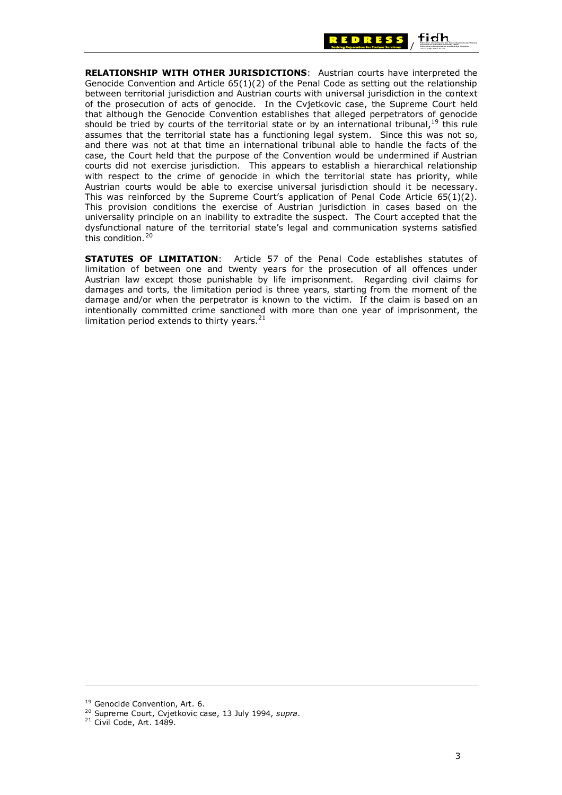

**RELATIONSHIP WITH OTHER JURISDICTIONS**: Austrian courts have interpreted the Genocide Convention and Article  $65(1)(2)$  of the Penal Code as setting out the relationship between territorial jurisdiction and Austrian courts with universal jurisdiction in the context of the prosecution of acts of genocide. In the Cvjetkovic case, the Supreme Court held that although the Genocide Convention establishes that alleged perpetrators of genocide should be tried by courts of the territorial state or by an international tribunal,  $19$  this rule assumes that the territorial state has a functioning legal system. Since this was not so, and there was not at that time an international tribunal able to handle the facts of the case, the Court held that the purpose of the Convention would be undermined if Austrian courts did not exercise jurisdiction. This appears to establish a hierarchical relationship with respect to the crime of genocide in which the territorial state has priority, while Austrian courts would be able to exercise universal jurisdiction should it be necessary. This was reinforced by the Supreme Court's application of Penal Code Article 65(1)(2). This provision conditions the exercise of Austrian jurisdiction in cases based on the universality principle on an inability to extradite the suspect. The Court accepted that the dysfunctional nature of the territorial state's legal and communication systems satisfied this condition.<sup>20</sup>

**STATUTES OF LIMITATION**: Article 57 of the Penal Code establishes statutes of limitation of between one and twenty years for the prosecution of all offences under Austrian law except those punishable by life imprisonment. Regarding civil claims for damages and torts, the limitation period is three years, starting from the moment of the damage and/or when the perpetrator is known to the victim. If the claim is based on an intentionally committed crime sanctioned with more than one year of imprisonment, the limitation period extends to thirty years. $21$ 

<sup>&</sup>lt;sup>19</sup> Genocide Convention, Art. 6.<br><sup>20</sup> Supreme Court, Cvjetkovic case, 13 July 1994, *supra*.

<sup>&</sup>lt;sup>21</sup> Civil Code, Art. 1489.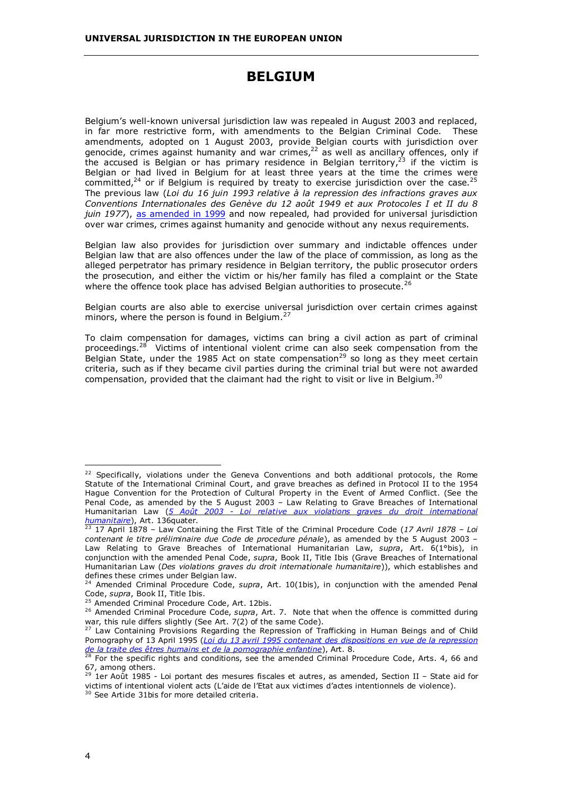# **BELGIUM**

<span id="page-9-0"></span>Belgium's well-known universal jurisdiction law was repealed in August 2003 and replaced, in far more restrictive form, with amendments to the Belgian Criminal Code. These amendments, adopted on 1 August 2003, provide Belgian courts with jurisdiction over genocide, crimes against humanity and war crimes, $^{22}$  as well as ancillary offences, only if the accused is Belgian or has primary residence in Belgian territory,<sup>23</sup> if the victim is Belgian or had lived in Belgium for at least three years at the time the crimes were committed, $24$  or if Belgium is required by treaty to exercise jurisdiction over the case. $25$ The previous law (*Loi du 16 juin 1993 relative à la repression des infractions graves aux Conventions Internationales des Genève du 12 août 1949 et aux Protocoles I et II du 8 juin 1977*), [as amended in 1999](http://www.ulb.ac.be/droit/cdi/1999.html) and now repealed, had provided for universal jurisdiction over war crimes, crimes against humanity and genocide without any nexus requirements.

Belgian law also provides for jurisdiction over summary and indictable offences under Belgian law that are also offences under the law of the place of commission, as long as the alleged perpetrator has primary residence in Belgian territory, the public prosecutor orders the prosecution, and either the victim or his/her family has filed a complaint or the State where the offence took place has advised Belgian authorities to prosecute.<sup>26</sup>

Belgian courts are also able to exercise universal jurisdiction over certain crimes against minors, where the person is found in Belgium.<sup>27</sup>

To claim compensation for damages, victims can bring a civil action as part of criminal proceedings.<sup>28</sup> Victims of intentional violent crime can also seek compensation from the Belgian State, under the 1985 Act on state compensation<sup>29</sup> so long as they meet certain criteria, such as if they became civil parties during the criminal trial but were not awarded compensation, provided that the claimant had the right to visit or live in Belgium.<sup>30</sup>

 $22$  Specifically, violations under the Geneva Conventions and both additional protocols, the Rome Statute of the International Criminal Court, and grave breaches as defined in Protocol II to the 1954 Hague Convention for the Protection of Cultural Property in the Event of Armed Conflict. (See the Penal Code, as amended by the 5 August 2003 – Law Relating to Grave Breaches of International Humanitarian Law (*5 [Août 2003 - Loi relative aux violations graves du droit international](http://www.universaljurisdiction.info/xp_resources/material/law_documents/Belgium/Belgium-2003 Law on Grave Breaches (French).doc)  humanitaire*[\)](http://www.universaljurisdiction.info/xp_resources/material/law_documents/Belgium/Belgium-2003 Law on Grave Breaches (French).doc), Art. 136quater. 23 17 April 1878 – Law Containing the First Title of the Criminal Procedure Code (*17 Avril 1878 – Loi* 

*contenant le titre préliminaire due Code de procedure pénale*), as amended by the 5 August 2003 – Law Relating to Grave Breaches of International Humanitarian Law, *supra*, Art. 6(1°bis), in conjunction with the amended Penal Code, *supra*, Book II, Title Ibis (Grave Breaches of International Humanitarian Law (*Des violations graves du droit internationale humanitaire*)), which establishes and defines these crimes under Belgian law.

<sup>&</sup>lt;sup>24</sup> Amended Criminal Procedure Code, *supra*, Art. 10(1bis), in conjunction with the amended Penal Code, *supra*, Book II, Title Ibis.

<sup>&</sup>lt;sup>25</sup> Amended Criminal Procedure Code, Art. 12bis.<br><sup>26</sup> Amended Criminal Procedure Code, *supra*, Art. 7. Note that when the offence is committed during war, this rule differs slightly (See Art. 7(2) of the same Code).

<sup>&</sup>lt;sup>27</sup> Law Containing Provisions Regarding the Repression of Trafficking in Human Beings and of Child Pornography of 13 April 1995 (*[Loi du 13 avril 1995 contenant des dispositions en vue de la repression](http://meta.fgov.be/pdf/pk/frk327-332.pdf)  de la traite des êtres humains et de la pornographie enfantine*[\)](http://meta.fgov.be/pdf/pk/frk327-332.pdf), Art. 8.<br><sup>28</sup> For the specific rights and conditions, see the amended Criminal Procedure Code, Arts. 4, 66 and

<sup>67,</sup> among others.

 $29$  1er Août 1985 - Loi portant des mesures fiscales et autres, as amended, Section II - State aid for victims of intentional violent acts (L'aide de l'Etat aux victimes d'actes intentionnels de violence).

<sup>&</sup>lt;sup>30</sup> See Artide 31bis for more detailed criteria.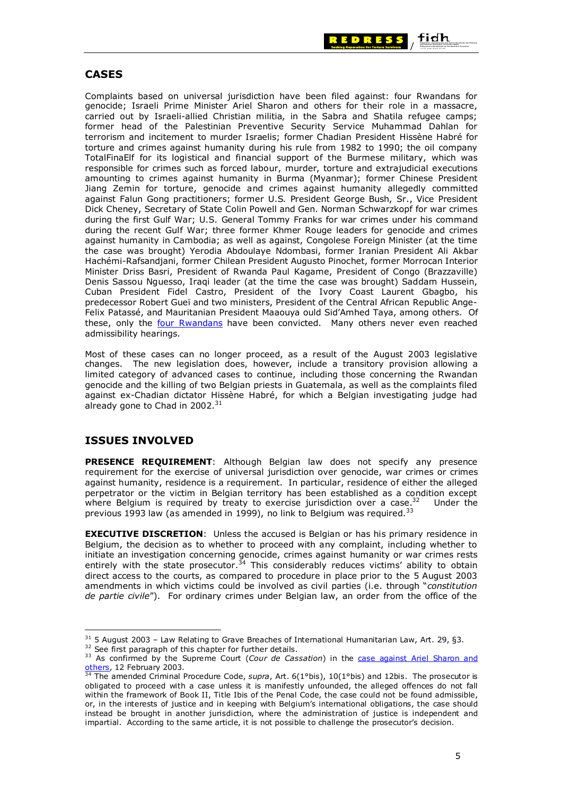

### **CASES**

Complaints based on universal jurisdiction have been filed against: four Rwandans for genocide; Israeli Prime Minister Ariel Sharon and others for their role in a massacre, carried out by Israeli-allied Christian militia, in the Sabra and Shatila refugee camps; former head of the Palestinian Preventive Security Service Muhammad Dahlan for terrorism and incitement to murder Israelis; former Chadian President Hissène Habré for torture and crimes against humanity during his rule from 1982 to 1990; the oil company TotalFinaElf for its logistical and financial support of the Burmese military, which was responsible for crimes such as forced labour, murder, torture and extrajudicial executions amounting to crimes against humanity in Burma (Myanmar); former Chinese President Jiang Zemin for torture, genocide and crimes against humanity allegedly committed against Falun Gong practitioners; former U.S. President George Bush, Sr., Vice President Dick Cheney, Secretary of State Colin Powell and Gen. Norman Schwarzkopf for war crimes during the first Gulf War; U.S. General Tommy Franks for war crimes under his command during the recent Gulf War; three former Khmer Rouge leaders for genocide and crimes against humanity in Cambodia; as well as against, Congolese Foreign Minister (at the time the case was brought) Yerodia Abdoulaye Ndombasi, former Iranian President Ali Akbar Hachémi-Rafsandjani, former Chilean President Augusto Pinochet, former Morrocan Interior Minister Driss Basri, President of Rwanda Paul Kagame, President of Congo (Brazzaville) Denis Sassou Nguesso, Iraqi leader (at the time the case was brought) Saddam Hussein, Cuban President Fidel Castro, President of the Ivory Coast Laurent Gbagbo, his predecessor Robert Gueï and two ministers, President of the Central African Republic Ange-Felix Patassé, and Mauritanian President Maaouya ould Sid'Amhed Taya, among others. Of these, only the [four Rwandans](http://www.droit.fundp.ac.be/genocide/themes/PartFiche.cfm?ID=2441&TITLE=HIGANIRO%20%2D%20Arr%EAt%20de%20la%20Cour%20d%27Assises%20de%20Bruxelles%20du%208%20juin%202001&Keyword=connexit%E9) have been convicted. Many others never even reached admissibility hearings.

Most of these cases can no longer proceed, as a result of the August 2003 legislative changes. The new legislation does, however, include a transitory provision allowing a limited category of advanced cases to continue, including those concerning the Rwandan genocide and the killing of two Belgian priests in Guatemala, as well as the complaints filed against ex-Chadian dictator Hissène Habré, for which a Belgian investigating judge had already gone to Chad in  $2002.^{31}$ 

## **ISSUES INVOLVED**

**PRESENCE REQUIREMENT**: Although Belgian law does not specify any presence requirement for the exercise of universal jurisdiction over genocide, war crimes or crimes against humanity, residence is a requirement. In particular, residence of either the alleged perpetrator or the victim in Belgian territory has been established as a condition except where Belgium is required by treaty to exercise jurisdiction over a case. $32$  Under the previous 1993 law (as amended in 1999), no link to Belgium was required.<sup>33</sup>

**EXECUTIVE DISCRETION:** Unless the accused is Belgian or has his primary residence in Belgium, the decision as to whether to proceed with any complaint, including whether to initiate an investigation concerning genocide, crimes against humanity or war crimes rests entirely with the state prosecutor.<sup>34</sup> This considerably reduces victims' ability to obtain direct access to the courts, as compared to procedure in place prior to the 5 August 2003 amendments in which victims could be involved as civil parties (i.e. through "*constitution de partie civile*"). For ordinary crimes under Belgian law, an order from the office of the

<sup>&</sup>lt;sup>31</sup> 5 August 2003 – Law Relating to Grave Breaches of International Humanitarian Law, Art. 29, §3.<br><sup>32</sup> See first paragraph of this chapter for further details.<br><sup>33</sup> As confirmed by the Supreme Court (Cour de Cassation) [others,](http://indictsharon.net/12feb2003dectrans.pdf) 12 February 2003. 34 The amended Criminal Procedure Code, *supra*, Art. 6(1°bis), 10(1°bis) and 12bis. The prosecutor is

obligated to proceed with a case unless it is manifestly unfounded, the alleged offences do not fall within the framework of Book II, Title Ibis of the Penal Code, the case could not be found admissible, or, in the interests of justice and in keeping with Belgium's international obligations, the case should instead be brought in another jurisdiction, where the administration of justice is independent and impartial. According to the same article, it is not possible to challenge the prosecutor's decision.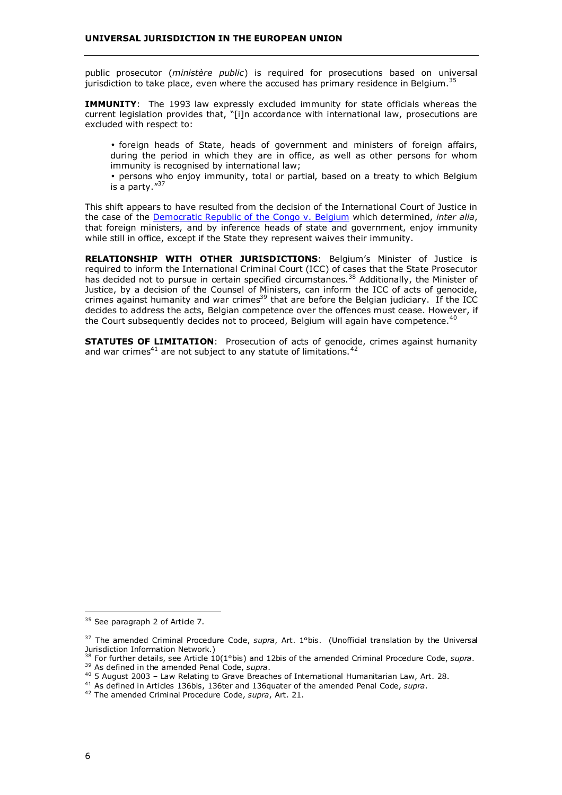public prosecutor (*ministère public*) is required for prosecutions based on universal jurisdiction to take place, even where the accused has primary residence in Belgium.<sup>35</sup>

**IMMUNITY:** The 1993 law expressly excluded immunity for state officials whereas the current legislation provides that, "[i]n accordance with international law, prosecutions are excluded with respect to:

• foreign heads of State, heads of government and ministers of foreign affairs, during the period in which they are in office, as well as other persons for whom immunity is recognised by international law;

• persons who enjoy immunity, total or partial, based on a treaty to which Belgium is a party."37

This shift appears to have resulted from the decision of the International Court of Justice in the case of the [Democratic Republic of the Congo v. Belgium](http://www.icj-cij.org/icjwww/idocket/iCOBE/icobejudgment/icobe_ijudgment_20020214.PDF) which determined, *inter alia*, that foreign ministers, and by inference heads of state and government, enjoy immunity while still in office, except if the State they represent waives their immunity.

**RELATIONSHIP WITH OTHER JURISDICTIONS**: Belgium's Minister of Justice is required to inform the International Criminal Court (ICC) of cases that the State Prosecutor has decided not to pursue in certain specified circumstances.<sup>38</sup> Additionally, the Minister of Justice, by a decision of the Counsel of Ministers, can inform the ICC of acts of genocide, crimes against humanity and war crimes<sup>39</sup> that are before the Belgian judiciary. If the ICC decides to address the acts, Belgian competence over the offences must cease. However, if the Court subsequently decides not to proceed, Belgium will again have competence.<sup>40</sup>

**STATUTES OF LIMITATION**: Prosecution of acts of genocide, crimes against humanity and war crimes<sup>41</sup> are not subject to any statute of limitations.  $42$ 

<sup>&</sup>lt;sup>35</sup> See paragraph 2 of Artide 7.

<sup>37</sup> The amended Criminal Procedure Code, *supra*, Art. 1°bis. (Unofficial translation by the Universal Jurisdiction Information Network.)

<sup>38</sup> For further details, see Article 10(1°bis) and 12bis of the amended Criminal Procedure Code, *supra*. 39 As defined in the amended Penal Code, *supra*.<br><sup>39</sup> As defined in the amended Penal Code, *supra*.<br><sup>40</sup> 5 August 2003 – Law Relating to Grave Breaches of International Humanitarian Law, Art. 28.

<sup>&</sup>lt;sup>41</sup> As defined in Articles 136bis, 136ter and 136quater of the amended Penal Code, supra.

<sup>42</sup> The amended Criminal Procedure Code, *supra*, Art. 21.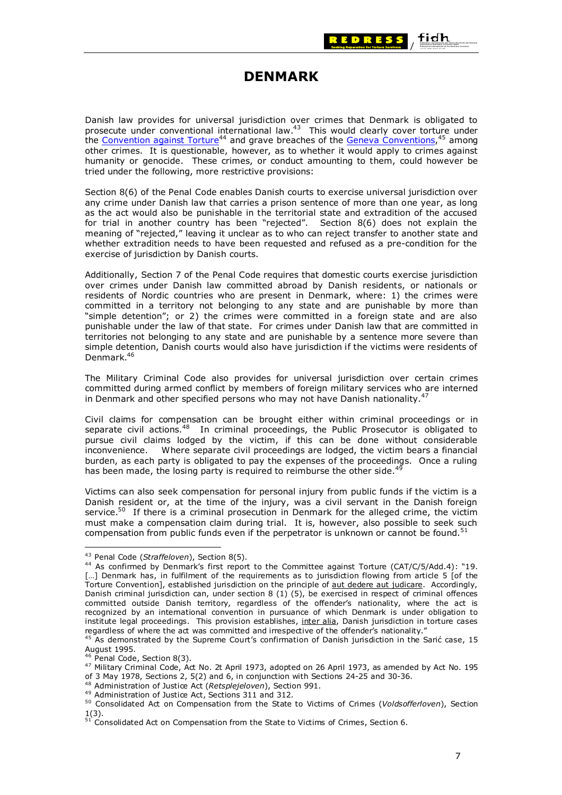

# **DENMARK**

<span id="page-12-0"></span>Danish law provides for universal jurisdiction over crimes that Denmark is obligated to prosecute under conventional international law.43 This would clearly cover torture under the [Convention against Torture](http://www.unhchr.ch/html/menu3/b/h_cat39.htm)<sup>44</sup> and grave breaches of the [Geneva Conventions,](http://www.icrc.org/ihl.nsf/WebCONVFULL?OpenView)<sup>45</sup> among other crimes. It is questionable, however, as to whether it would apply to crimes against humanity or genocide. These crimes, or conduct amounting to them, could however be tried under the following, more restrictive provisions:

Section 8(6) of the Penal Code enables Danish courts to exercise universal jurisdiction over any crime under Danish law that carries a prison sentence of more than one year, as long as the act would also be punishable in the territorial state and extradition of the accused for trial in another country has been "rejected". Section 8(6) does not explain the meaning of "rejected," leaving it unclear as to who can reject transfer to another state and whether extradition needs to have been requested and refused as a pre-condition for the exercise of jurisdiction by Danish courts.

Additionally, Section 7 of the Penal Code requires that domestic courts exercise jurisdiction over crimes under Danish law committed abroad by Danish residents, or nationals or residents of Nordic countries who are present in Denmark, where: 1) the crimes were committed in a territory not belonging to any state and are punishable by more than "simple detention"; or 2) the crimes were committed in a foreign state and are also punishable under the law of that state. For crimes under Danish law that are committed in territories not belonging to any state and are punishable by a sentence more severe than simple detention, Danish courts would also have jurisdiction if the victims were residents of Denmark.46

The Military Criminal Code also provides for universal jurisdiction over certain crimes committed during armed conflict by members of foreign military services who are interned in Denmark and other specified persons who may not have Danish nationality.

Civil claims for compensation can be brought either within criminal proceedings or in separate civil actions.<sup>48</sup> In criminal proceedings, the Public Prosecutor is obligated to pursue civil claims lodged by the victim, if this can be done without considerable inconvenience. Where separate civil proceedings are lodged, the victim bears a financial burden, as each party is obligated to pay the expenses of the proceedings. Once a ruling has been made, the losing party is required to reimburse the other side.<sup>48</sup>

Victims can also seek compensation for personal injury from public funds if the victim is a Danish resident or, at the time of the injury, was a civil servant in the Danish foreign service.<sup>50</sup> If there is a criminal prosecution in Denmark for the alleged crime, the victim must make a compensation claim during trial. It is, however, also possible to seek such compensation from public funds even if the perpetrator is unknown or cannot be found.<sup>51</sup>

<sup>&</sup>lt;sup>43</sup> Penal Code (*Straffeloven*), Section 8(5).<br><sup>44</sup> As confirmed by Denmark's first report to the Committee against Torture (CAT/C/5/Add.4): "19. [...] Denmark has, in fulfilment of the requirements as to jurisdiction flowing from article 5 [of the Torture Convention], established jurisdiction on the principle of aut dedere aut judicare. Accordingly, Danish criminal jurisdiction can, under section 8 (1) (5), be exercised in respect of criminal offences committed outside Danish territory, regardless of the offender's nationality, where the act is recognized by an international convention in pursuance of which Denmark is under obligation to institute legal proceedings. This provision establishes, inter alia, Danish jurisdiction in torture cases regardless of where the act was committed and irrespective of the offender's nationality."

 $^{45}$  As demonstrated by the Supreme Court's confirmation of Danish jurisdiction in the Sarić case, 15 August 1995.<br><sup>46</sup> Penal Code, Section 8(3).

<sup>47</sup> Military Criminal Code, Act No. 2t April 1973, adopted on 26 April 1973, as amended by Act No. 195 of 3 May 1978, Sections 2, 5(2) and 6, in conjunction with Sections 24-25 and 30-36.

<sup>&</sup>lt;sup>48</sup> Administration of Justice Act (*Retsplejeloven*), Section 991.<br><sup>49</sup> Administration of Justice Act, Sections 311 and 312.<br><sup>50</sup> Consolidated Act on Compensation from the State to Victims of Crimes (*Voldsofferloven*), 1(3).

 $51$  Consolidated Act on Compensation from the State to Victims of Crimes, Section 6.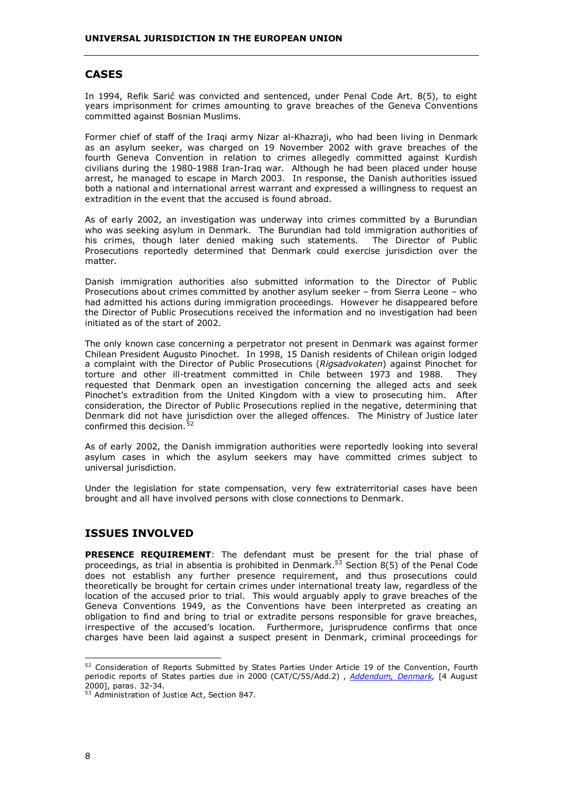#### **CASES**

In 1994, Refik Sarić was convicted and sentenced, under Penal Code Art. 8(5), to eight years imprisonment for crimes amounting to grave breaches of the Geneva Conventions committed against Bosnian Muslims.

Former chief of staff of the Iraqi army Nizar al-Khazraji, who had been living in Denmark as an asylum seeker, was charged on 19 November 2002 with grave breaches of the fourth Geneva Convention in relation to crimes allegedly committed against Kurdish civilians during the 1980-1988 Iran-Iraq war. Although he had been placed under house arrest, he managed to escape in March 2003. In response, the Danish authorities issued both a national and international arrest warrant and expressed a willingness to request an extradition in the event that the accused is found abroad.

As of early 2002, an investigation was underway into crimes committed by a Burundian who was seeking asylum in Denmark. The Burundian had told immigration authorities of his crimes, though later denied making such statements. The Director of Public Prosecutions reportedly determined that Denmark could exercise jurisdiction over the matter.

Danish immigration authorities also submitted information to the Director of Public Prosecutions about crimes committed by another asylum seeker – from Sierra Leone – who had admitted his actions during immigration proceedings. However he disappeared before the Director of Public Prosecutions received the information and no investigation had been initiated as of the start of 2002.

The only known case concerning a perpetrator not present in Denmark was against former Chilean President Augusto Pinochet. In 1998, 15 Danish residents of Chilean origin lodged a complaint with the Director of Public Prosecutions (*Rigsadvokaten*) against Pinochet for torture and other ill-treatment committed in Chile between 1973 and 1988. They requested that Denmark open an investigation concerning the alleged acts and seek Pinochet's extradition from the United Kingdom with a view to prosecuting him. After consideration, the Director of Public Prosecutions replied in the negative, determining that Denmark did not have jurisdiction over the alleged offences. The Ministry of Justice later confirmed this decision.<sup>52</sup>

As of early 2002, the Danish immigration authorities were reportedly looking into several asylum cases in which the asylum seekers may have committed crimes subject to universal jurisdiction.

Under the legislation for state compensation, very few extraterritorial cases have been brought and all have involved persons with close connections to Denmark.

### **ISSUES INVOLVED**

**PRESENCE REQUIREMENT**: The defendant must be present for the trial phase of proceedings, as trial in absentia is prohibited in Denmark.<sup>53</sup> Section 8(5) of the Penal Code does not establish any further presence requirement, and thus prosecutions could theoretically be brought for certain crimes under international treaty law, regardless of the location of the accused prior to trial. This would arguably apply to grave breaches of the Geneva Conventions 1949, as the Conventions have been interpreted as creating an obligation to find and bring to trial or extradite persons responsible for grave breaches, irrespective of the accused's location. Furthermore, jurisprudence confirms that once charges have been laid against a suspect present in Denmark, criminal proceedings for

<sup>&</sup>lt;sup>52</sup> Consideration of Reports Submitted by States Parties Under Article 19 of the Convention, Fourth periodic reports of States parties due in 2000 (CAT/C/55/Add.2) , *[Addendum, Denmark](http://www.unhchr.ch/tbs/doc.nsf/898586b1dc7b4043c1256a450044f331/0573122803c8d356c1256a310050517a/$FILE/G0044571.pdf)*, [4 August 2000], paras. 32-34.

<sup>53</sup> Administration of Justice Act, Section 847.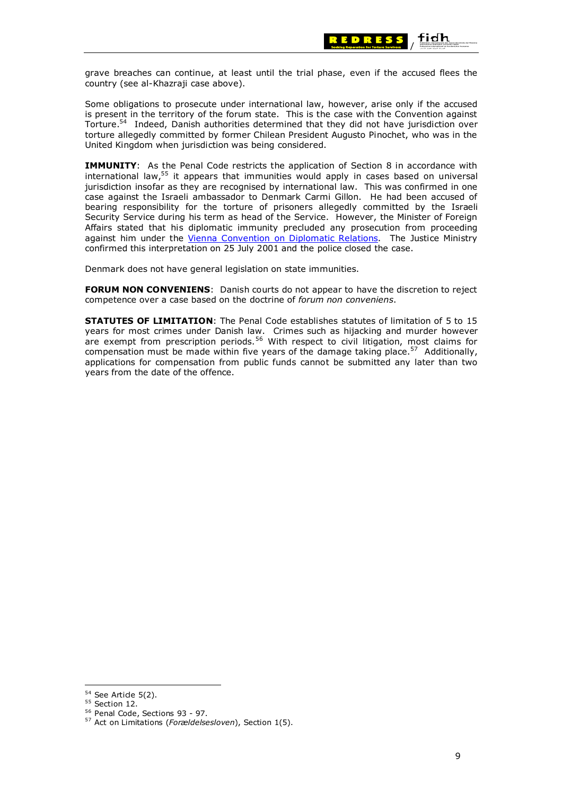

grave breaches can continue, at least until the trial phase, even if the accused flees the country (see al-Khazraji case above).

Some obligations to prosecute under international law, however, arise only if the accused is present in the territory of the forum state. This is the case with the Convention against Torture.54 Indeed, Danish authorities determined that they did not have jurisdiction over torture allegedly committed by former Chilean President Augusto Pinochet, who was in the United Kingdom when jurisdiction was being considered.

**IMMUNITY:** As the Penal Code restricts the application of Section 8 in accordance with international law, $55$  it appears that immunities would apply in cases based on universal jurisdiction insofar as they are recognised by international law. This was confirmed in one case against the Israeli ambassador to Denmark Carmi Gillon. He had been accused of bearing responsibility for the torture of prisoners allegedly committed by the Israeli Security Service during his term as head of the Service. However, the Minister of Foreign Affairs stated that his diplomatic immunity precluded any prosecution from proceeding against him under the [Vienna Convention on Diplomatic Relations.](http://www.unog.ch/archives/vienna/vien_61.htm) The Justice Ministry confirmed this interpretation on 25 July 2001 and the police closed the case.

Denmark does not have general legislation on state immunities.

**FORUM NON CONVENIENS**: Danish courts do not appear to have the discretion to reject competence over a case based on the doctrine of *forum non conveniens*.

**STATUTES OF LIMITATION**: The Penal Code establishes statutes of limitation of 5 to 15 years for most crimes under Danish law. Crimes such as hijacking and murder however are exempt from prescription periods.56 With respect to civil litigation, most claims for compensation must be made within five years of the damage taking place.<sup>57</sup> Additionally, applications for compensation from public funds cannot be submitted any later than two years from the date of the offence.

<sup>54</sup> See Article 5(2).<br><sup>55</sup> Section 12.<br><sup>56</sup> Penal Code, Sections 93 - 97.<br><sup>57</sup> Act on Limitations (*Forældelsesloven*), Section 1(5).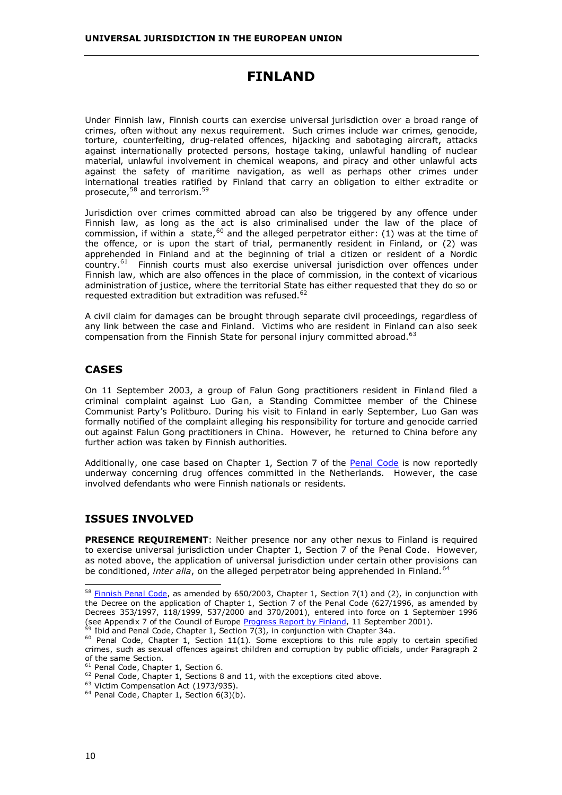# **FINLAND**

<span id="page-15-0"></span>Under Finnish law, Finnish courts can exercise universal jurisdiction over a broad range of crimes, often without any nexus requirement. Such crimes include war crimes, genocide, torture, counterfeiting, drug-related offences, hijacking and sabotaging aircraft, attacks against internationally protected persons, hostage taking, unlawful handling of nuclear material, unlawful involvement in chemical weapons, and piracy and other unlawful acts against the safety of maritime navigation, as well as perhaps other crimes under international treaties ratified by Finland that carry an obligation to either extradite or prosecute,<sup>58</sup> and terrorism.<sup>59</sup>

Jurisdiction over crimes committed abroad can also be triggered by any offence under Finnish law, as long as the act is also criminalised under the law of the place of commission, if within a state,<sup>60</sup> and the alleged perpetrator either: (1) was at the time of the offence, or is upon the start of trial, permanently resident in Finland, or (2) was apprehended in Finland and at the beginning of trial a citizen or resident of a Nordic country.<sup>61</sup> Finnish courts must also exercise universal jurisdiction over offences under Finnish law, which are also offences in the place of commission, in the context of vicarious administration of justice, where the territorial State has either requested that they do so or requested extradition but extradition was refused.<sup>62</sup>

A civil claim for damages can be brought through separate civil proceedings, regardless of any link between the case and Finland. Victims who are resident in Finland can also seek compensation from the Finnish State for personal injury committed abroad.<sup>63</sup>

### **CASES**

On 11 September 2003, a group of Falun Gong practitioners resident in Finland filed a criminal complaint against Luo Gan, a Standing Committee member of the Chinese Communist Party's Politburo. During his visit to Finland in early September, Luo Gan was formally notified of the complaint alleging his responsibility for torture and genocide carried out against Falun Gong practitioners in China. However, he returned to China before any further action was taken by Finnish authorities.

Additionally, one case based on Chapter 1, Section 7 of the [Penal Code](http://www.finlex.fi/pdf/saadkaan/E8890039.PDF) is now reportedly underway concerning drug offences committed in the Netherlands. However, the case involved defendants who were Finnish nationals or residents.

## **ISSUES INVOLVED**

**PRESENCE REQUIREMENT**: Neither presence nor any other nexus to Finland is required to exercise universal jurisdiction under Chapter 1, Section 7 of the Penal Code. However, as noted above, the application of universal jurisdiction under certain other provisions can be conditioned, *inter alia*, on the alleged perpetrator being apprehended in Finland.<sup>64</sup>

 $58$  [Finnish Penal Code](http://www.finlex.fi/pdf/saadkaan/E8890039.PDF), as amended by 650/2003, Chapter 1, Section 7(1) and (2), in conjunction with the Decree on the application of Chapter 1, Section 7 of the Penal Code (627/1996, as amended by Decrees 353/1997, 118/1999, 537/2000 and 370/2001), entered into force on 1 September 1996<br>(see Appendix 7 of the Council of Europe Progress Report by Finland, 11 September 2001).

 $^{59}$  [Ibid and Pen](http://www.finlex.fi/pdf/saadkaan/E8890039.PDF)al Code, Chapter 1, Section 7(3), in conjunction with Chapter 34a.<br><sup>60</sup> [Penal Code](http://www.finlex.fi/pdf/saadkaan/E8890039.PDF), Chapter 1, Section 11(1). Some exceptions to this rule apply to certain specified crimes, such as sexual offences against children and corruption by public officials, under Paragraph 2 of the same Section.<br>
<sup>61</sup> Penal Code, Chapter 1, Section 6.

<sup>&</sup>lt;sup>62</sup> [Penal Code](http://www.finlex.fi/pdf/saadkaan/E8890039.PDF), Chapter 1, Sections 8 and 11, with the exceptions cited above.<br><sup>63</sup> Victim Compensation Act (1973/935).<br><sup>64</sup> Penal Code, Chapter 1, Section 6(3)(b).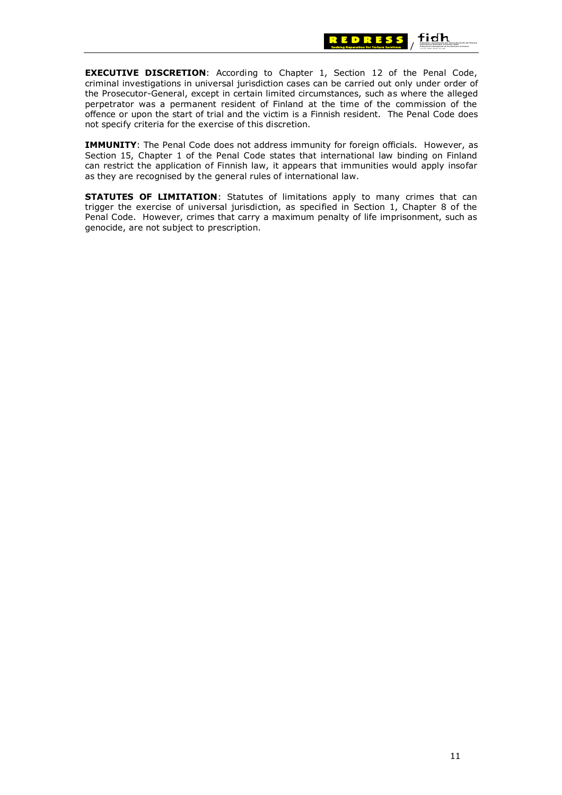

**EXECUTIVE DISCRETION**: According to Chapter 1, Section 12 of the Penal Code, criminal investigations in universal jurisdiction cases can be carried out only under order of the Prosecutor-General, except in certain limited circumstances, such as where the alleged perpetrator was a permanent resident of Finland at the time of the commission of the offence or upon the start of trial and the victim is a Finnish resident. The Penal Code does not specify criteria for the exercise of this discretion.

**IMMUNITY**: The Penal Code does not address immunity for foreign officials. However, as Section 15, Chapter 1 of the Penal Code states that international law binding on Finland can restrict the application of Finnish law, it appears that immunities would apply insofar as they are recognised by the general rules of international law.

**STATUTES OF LIMITATION**: Statutes of limitations apply to many crimes that can trigger the exercise of universal jurisdiction, as specified in Section 1, Chapter 8 of the Penal Code. However, crimes that carry a maximum penalty of life imprisonment, such as genocide, are not subject to prescription.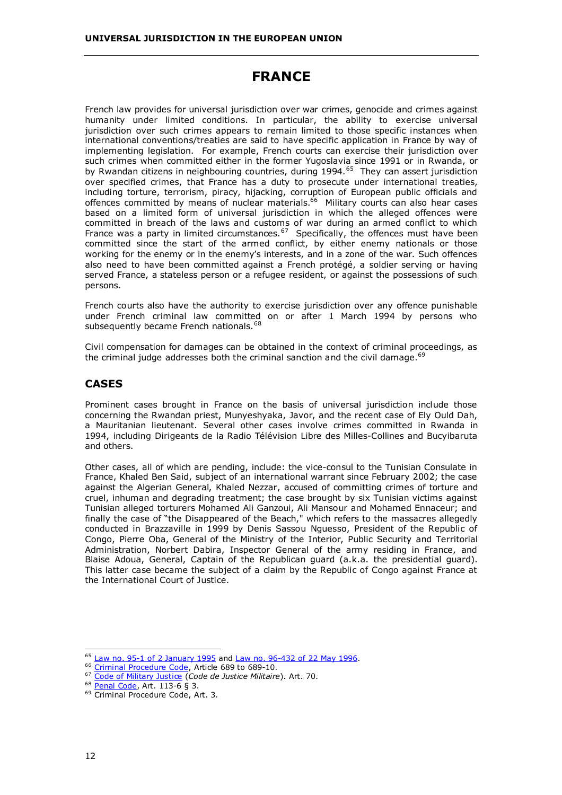# **FRANCE**

<span id="page-17-0"></span>French law provides for universal jurisdiction over war crimes, genocide and crimes against humanity under limited conditions. In particular, the ability to exercise universal jurisdiction over such crimes appears to remain limited to those specific instances when international conventions/treaties are said to have specific application in France by way of implementing legislation. For example, French courts can exercise their jurisdiction over such crimes when committed either in the former Yugoslavia since 1991 or in Rwanda, or by Rwandan citizens in neighbouring countries, during 1994.<sup>65</sup> They can assert jurisdiction over specified crimes, that France has a duty to prosecute under international treaties, including torture, terrorism, piracy, hijacking, corruption of European public officials and offences committed by means of nuclear materials.<sup>66</sup> Military courts can also hear cases based on a limited form of universal jurisdiction in which the alleged offences were committed in breach of the laws and customs of war during an armed conflict to which France was a party in limited circumstances.<sup>67</sup> Specifically, the offences must have been committed since the start of the armed conflict, by either enemy nationals or those working for the enemy or in the enemy's interests, and in a zone of the war. Such offences also need to have been committed against a French protégé, a soldier serving or having served France, a stateless person or a refugee resident, or against the possessions of such persons.

French courts also have the authority to exercise jurisdiction over any offence punishable under French criminal law committed on or after 1 March 1994 by persons who subsequently became French nationals.<sup>68</sup>

Civil compensation for damages can be obtained in the context of criminal proceedings, as the criminal judge addresses both the criminal sanction and the civil damage. $69$ 

## **CASES**

Prominent cases brought in France on the basis of universal jurisdiction include those concerning the Rwandan priest, Munyeshyaka, Javor, and the recent case of Ely Ould Dah, a Mauritanian lieutenant. Several other cases involve crimes committed in Rwanda in 1994, including Dirigeants de la Radio Télévision Libre des Milles-Collines and Bucyibaruta and others.

Other cases, all of which are pending, include: the vice-consul to the Tunisian Consulate in France, Khaled Ben Said, subject of an international warrant since February 2002; the case against the Algerian General, Khaled Nezzar, accused of committing crimes of torture and cruel, inhuman and degrading treatment; the case brought by six Tunisian victims against Tunisian alleged torturers Mohamed Ali Ganzoui, Ali Mansour and Mohamed Ennaceur; and finally the case of "the Disappeared of the Beach," which refers to the massacres allegedly conducted in Brazzaville in 1999 by Denis Sassou Nguesso, President of the Republic of Congo, Pierre Oba, General of the Ministry of the Interior, Public Security and Territorial Administration, Norbert Dabira, Inspector General of the army residing in France, and Blaise Adoua, General, Captain of the Republican guard (a.k.a. the presidential guard). This latter case became the subject of a claim by the Republic of Congo against France at the International Court of Justice.

 $65$  [Law no. 95-1 of 2 January 1995](http://www.universaljurisdiction.info/index/Laws/Law_summaries/99260,0) and [Law no. 96-432 of 22 May 1996](http://www.universaljurisdiction.info/index/Laws/Law_summaries/99335,0).<br> $66$  Criminal Procedure Code, Article 689 to 689-10.

<sup>&</sup>lt;sup>67</sup> Code of Military Justice (Code de Justice Militaire). Art. 70.<br><sup>68</sup> <u>Penal Code</u>, Art. 113-6 § 3.<br><sup>69</sup> Criminal Procedure Code, Art. 3.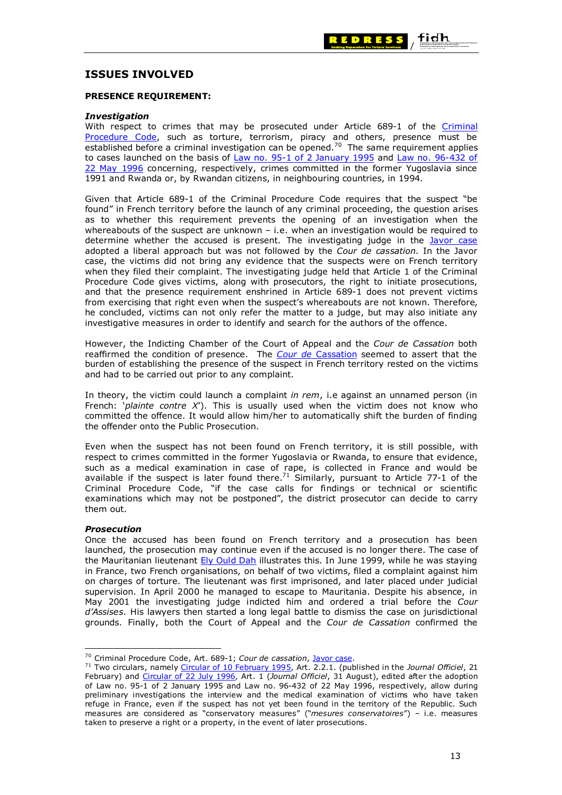

### **ISSUES INVOLVED**

#### **PRESENCE REQUIREMENT:**

#### *Investigation*

With respect to crimes that may be prosecuted under Article 689-1 of the [Criminal](http://www.universaljurisdiction.info/index/Laws/Law_summaries/99448,0)  [Procedure Code,](http://www.universaljurisdiction.info/index/Laws/Law_summaries/99448,0) such as torture, terrorism, piracy and others, presence must be established before a criminal investigation can be opened.<sup>70</sup> The same requirement applies to cases launched on the basis of [Law no. 95-1 of 2 January 1995](http://www.universaljurisdiction.info/index/Laws/Law_summaries/99260,0) and Law no. 96-432 of [22 May 1996](http://www.universaljurisdiction.info/index/Laws/Law_summaries/99335,0) concerning, respectively, crimes committed in the former Yugoslavia since 1991 and Rwanda or, by Rwandan citizens, in neighbouring countries, in 1994.

Given that Article 689-1 of the Criminal Procedure Code requires that the suspect "be found" in French territory before the launch of any criminal proceeding, the question arises as to whether this requirement prevents the opening of an investigation when the whereabouts of the suspect are unknown  $-$  i.e. when an investigation would be required to determine whether the accused is present. The investigating judge in the [Javor case](http://www.universaljurisdiction.info/index/Cases/Cases/France_-_Javor_case_/Case_Doc_Summaries/110471,0) adopted a liberal approach but was not followed by the *Cour de cassation*. In the Javor case, the victims did not bring any evidence that the suspects were on French territory when they filed their complaint. The investigating judge held that Article 1 of the Criminal Procedure Code gives victims, along with prosecutors, the right to initiate prosecutions, and that the presence requirement enshrined in Article 689-1 does not prevent victims from exercising that right even when the suspect's whereabouts are not known. Therefore, he concluded, victims can not only refer the matter to a judge, but may also initiate any investigative measures in order to identify and search for the authors of the offence.

However, the Indicting Chamber of the Court of Appeal and the *Cour de Cassation* both reaffirmed the condition of presence. The *Cour de* [Cassation](http://www.legifrance.gouv.fr/WAspad/UnDocument?base=CASS&nod=CXRXAX1996X03X06X00132X000) seemed to assert that the burden of establishing the presence of the suspect in French territory rested on the victims and had to be carried out prior to any complaint.

In theory, the victim could launch a complaint *in rem*, i.e against an unnamed person (in French: '*plainte contre X*'). This is usually used when the victim does not know who committed the offence. It would allow him/her to automatically shift the burden of finding the offender onto the Public Prosecution.

Even when the suspect has not been found on French territory, it is still possible, with respect to crimes committed in the former Yugoslavia or Rwanda, to ensure that evidence, such as a medical examination in case of rape, is collected in France and would be available if the suspect is later found there.<sup>71</sup> Similarly, pursuant to Article 77-1 of the Criminal Procedure Code, "if the case calls for findings or technical or scientific examinations which may not be postponed", the district prosecutor can decide to carry them out.

#### *Prosecution*

Once the accused has been found on French territory and a prosecution has been launched, the prosecution may continue even if the accused is no longer there. The case of the Mauritanian lieutenant [Ely Ould Dah](http://www.universaljurisdiction.info/index/Cases/Cases/110287,0) illustrates this. In June 1999, while he was staying in France, two French organisations, on behalf of two victims, filed a complaint against him on charges of torture. The lieutenant was first imprisoned, and later placed under judicial supervision. In April 2000 he managed to escape to Mauritania. Despite his absence, in May 2001 the investigating judge indicted him and ordered a trial before the *Cour d'Assises*. His lawyers then started a long legal battle to dismiss the case on jurisdictional grounds. Finally, both the Court of Appeal and the *Cour de Cassation* confirmed the

<sup>70</sup> Criminal Procedure Code, Art. 689-1; *Cour de cassation*, [Javor case](http://www.universaljurisdiction.info/index/Cases/Cases/France_-_Javor_case_/Case_Doc_Summaries/114071,0).

<sup>71</sup> Two circulars, namely [Circular of 10 February 1995,](http://www.legifrance.gouv.fr/WAspad/UnDocument?base=LEX&nod=1CX9950221P4) Art. 2.2.1. (published in the *Journal Officiel*, 21 February) and [Circular of 22 July 1996,](http://www.legifrance.gouv.fr/WAspad/UnDocument?base=LEX&nod=1CX9960831P3) Art. 1 (*Journal Officiel*, 31 August), edited after the adoption of Law no. 95-1 of 2 January 1995 and Law no. 96-432 of 22 May 1996, respectively, allow during preliminary investigations the interview and the medical examination of victims who have taken refuge in France, even if the suspect has not yet been found in the territory of the Republic. Such measures are considered as "conservatory measures" ("*mesures conservatoires*") – i.e. measures taken to preserve a right or a property, in the event of later prosecutions.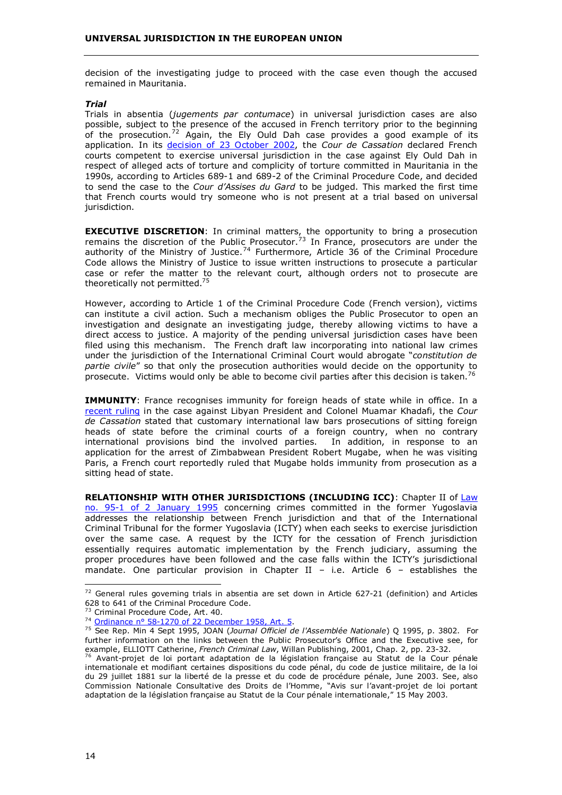decision of the investigating judge to proceed with the case even though the accused remained in Mauritania.

#### *Trial*

Trials in absentia (*jugements par contumace*) in universal jurisdiction cases are also possible, subject to the presence of the accused in French territory prior to the beginning of the prosecution.<sup>72</sup> Again, the Ely Ould Dah case provides a good example of its application. In its [decision of 23 October 2002,](http://www.universaljurisdiction.info/index/Cases/Cases/France_-__Ely_Ould_Dah_Case/Case_Doc_Summaries/110303,0) the *Cour de Cassation* declared French courts competent to exercise universal jurisdiction in the case against Ely Ould Dah in respect of alleged acts of torture and complicity of torture committed in Mauritania in the 1990s, according to Articles 689-1 and 689-2 of the Criminal Procedure Code, and decided to send the case to the *Cour d'Assises du Gard* to be judged. This marked the first time that French courts would try someone who is not present at a trial based on universal jurisdiction.

**EXECUTIVE DISCRETION**: In criminal matters, the opportunity to bring a prosecution remains the discretion of the Public Prosecutor.<sup>73</sup> In France, prosecutors are under the authority of the Ministry of Justice.<sup>74</sup> Furthermore, Article 36 of the Criminal Procedure Code allows the Ministry of Justice to issue written instructions to prosecute a particular case or refer the matter to the relevant court, although orders not to prosecute are theoretically not permitted.<sup>75</sup>

However, according to Article 1 of the Criminal Procedure Code (French version), victims can institute a civil action. Such a mechanism obliges the Public Prosecutor to open an investigation and designate an investigating judge, thereby allowing victims to have a direct access to justice. A majority of the pending universal jurisdiction cases have been filed using this mechanism. The French draft law incorporating into national law crimes under the jurisdiction of the International Criminal Court would abrogate "*constitution de partie civile*" so that only the prosecution authorities would decide on the opportunity to prosecute. Victims would only be able to become civil parties after this decision is taken.<sup>76</sup>

**IMMUNITY:** France recognises immunity for foreign heads of state while in office. In a [recent ruling](http://www.legifrance.gouv.fr/WAspad/UnDocument?base=CASS&nod=CXRXAX2001X03X06X00064X000) in the case against Libyan President and Colonel Muamar Khadafi, the *Cour de Cassation* stated that customary international law bars prosecutions of sitting foreign heads of state before the criminal courts of a foreign country, when no contrary international provisions bind the involved parties. In addition, in response to an application for the arrest of Zimbabwean President Robert Mugabe, when he was visiting Paris, a French court reportedly ruled that Mugabe holds immunity from prosecution as a sitting head of state.

**RELATIONSHIP WITH OTHER JURISDICTIONS (INCLUDING ICC): Chapter II of Law** [no. 95-1 of 2 January 1995](http://www.universaljurisdiction.info/index/Laws/Law_summaries/99260,0) concerning crimes committed in the former Yugoslavia addresses the relationship between French jurisdiction and that of the International Criminal Tribunal for the former Yugoslavia (ICTY) when each seeks to exercise jurisdiction over the same case. A request by the ICTY for the cessation of French jurisdiction essentially requires automatic implementation by the French judiciary, assuming the proper procedures have been followed and the case falls within the ICTY's jurisdictional mandate. One particular provision in Chapter II – i.e. Article  $6$  – establishes the

 $72$  General rules governing trials in absentia are set down in Article 627-21 (definition) and Articles 628 to 641 of the Criminal Procedure Code.<br> $73$  Criminal Procedure Code, Art. 40.

<sup>&</sup>lt;sup>74</sup> [Ordinance n° 58-1270 of 22 December 1958, Art. 5](http://www.legifrance.gouv.fr/texteconsolide/PFFAA.htm).

<sup>75</sup> See Rep. Min 4 Sept 1995, JOAN (*Journal Officiel de l'Assemblée Nationale*) Q 1995, p. 3802. For further information on the links between the Public Prosecutor's Office and the Executive see, for example, ELLIOTT Catherine, *French Criminal Law*, Willan Publishing, 2001, Chap. 2, pp. 23-32.<br><sup>76</sup> Avant-projet de loi portant adaptation de la législation française au Statut de la Cour pénale

internationale et modifiant certaines dispositions du code pénal, du code de justice militaire, de la loi du 29 juillet 1881 sur la liberté de la presse et du code de procédure pénale, June 2003. See, also Commission Nationale Consultative des Droits de l'Homme, "Avis sur l'avant-projet de loi portant adaptation de la législation française au Statut de la Cour pénale internationale," 15 May 2003.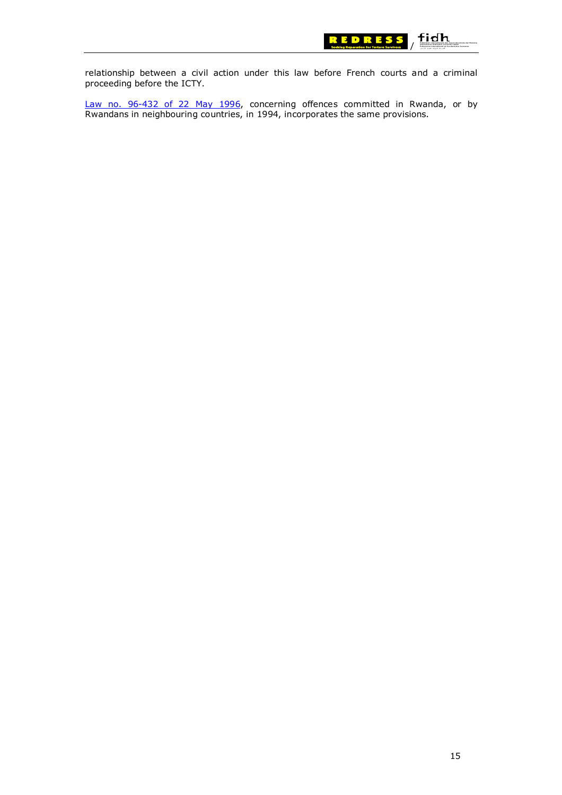

relationship between a civil action under this law before French courts and a criminal proceeding before the ICTY.

[Law no. 96-432 of 22 May 1996,](http://www.universaljurisdiction.info/index/Laws/Law_summaries/99335,0) concerning offences committed in Rwanda, or by Rwandans in neighbouring countries, in 1994, incorporates the same provisions.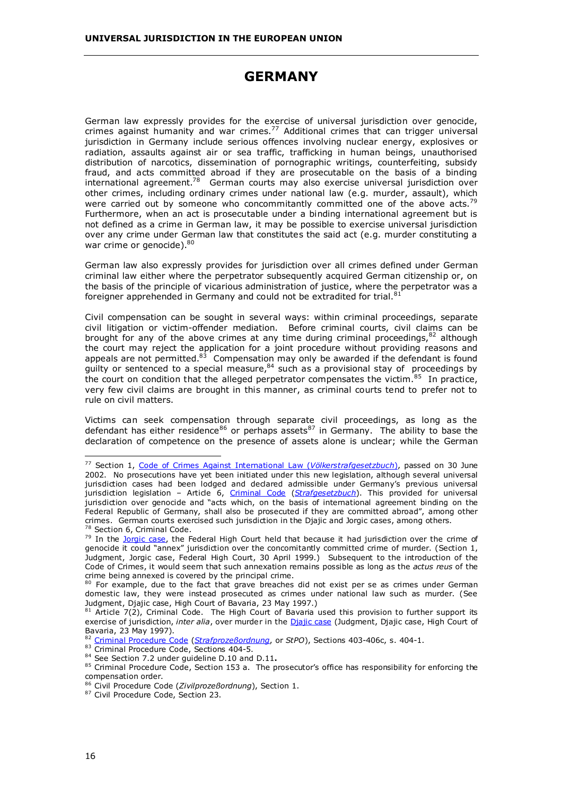# **GERMANY**

<span id="page-21-0"></span>German law expressly provides for the exercise of universal jurisdiction over genocide, crimes against humanity and war crimes.77 Additional crimes that can trigger universal jurisdiction in Germany include serious offences involving nuclear energy, explosives or radiation, assaults against air or sea traffic, trafficking in human beings, unauthorised distribution of narcotics, dissemination of pornographic writings, counterfeiting, subsidy fraud, and acts committed abroad if they are prosecutable on the basis of a binding international agreement.<sup>78</sup> German courts may also exercise universal jurisdiction over other crimes, including ordinary crimes under national law (e.g. murder, assault), which were carried out by someone who concommitantly committed one of the above acts.<sup>79</sup> Furthermore, when an act is prosecutable under a binding international agreement but is not defined as a crime in German law, it may be possible to exercise universal jurisdiction over any crime under German law that constitutes the said act (e.g. murder constituting a war crime or genocide). $80$ 

German law also expressly provides for jurisdiction over all crimes defined under German criminal law either where the perpetrator subsequently acquired German citizenship or, on the basis of the principle of vicarious administration of justice, where the perpetrator was a foreigner apprehended in Germany and could not be extradited for trial.<sup>81</sup>

Civil compensation can be sought in several ways: within criminal proceedings, separate civil litigation or victim-offender mediation. Before criminal courts, civil claims can be brought for any of the above crimes at any time during criminal proceedings,  $82$  although the court may reject the application for a joint procedure without providing reasons and appeals are not permitted.<sup>83</sup> Compensation may only be awarded if the defendant is found guilty or sentenced to a special measure, $84$  such as a provisional stay of proceedings by the court on condition that the alleged perpetrator compensates the victim.<sup>85</sup> In practice, very few civil claims are brought in this manner, as criminal courts tend to prefer not to rule on civil matters.

Victims can seek compensation through separate civil proceedings, as long as the defendant has either residence<sup>86</sup> or perhaps assets<sup>87</sup> in Germany. The ability to base the declaration of competence on the presence of assets alone is unclear; while the German

84 See Section 7.2 under guideline D.10 and D.11**.**

<sup>77</sup> Section 1, [Code of Crimes Against International Law \(](http://www.universaljurisdiction.info/index/Laws/Law_summaries/111467,0)*Völkerstrafgesetzbuch*), passed on 30 June 2002. No prosecutions have yet been initiated under this new legislation, although several universal jurisdiction cases had been lodged and declared admissible under Germany's previous universal jurisdiction legislation – Article 6, [Criminal Code](http://www.bmj.bund.de/images/10927.pdf) (*[Strafgesetzbuch](http://bundesrecht.juris.de/bundesrecht/stgb/gesamt.pdf)*). This provided for universal jurisdiction over genocide and "acts which, on the basis of international agreement binding on the Federal Republic of Germany, shall also be prosecuted if they are committed abroad", among other crimes. German courts exercised such jurisdiction in the Djajic and Jorgic cases, among others.

 $^{78}$  Sectio[n 6, Criminal](http://www.universaljurisdiction.info/index/Cases/Cases/Germany_-_Jorgic_case/Case_Doc_Summaries/106778,0) Code.<br> $^{79}$  In the [Jorgic case](http://www.universaljurisdiction.info/index/Cases/Cases/Germany_-_Jorgic_case/Case_Doc_Summaries/106778,0), the Federal High Court held that because it had jurisdiction over the crime of genocide it could "annex" jurisdiction over the concomitantly committed crime of murder. (Section 1, Judgment, Jorgic case, Federal High Court, 30 April 1999.) Subsequent to the introduction of the Code of Crimes, it would seem that such annexation remains possible as long as the *actus reus* of the crime being annexed is covered by the principal crime.

<sup>80</sup> For example, due to the fact that grave breaches did not exist per se as crimes under German domestic law, they were instead prosecuted as crimes under national law such as murder. (See Judgment, Djajic case, High Court of Bavaria, 23 May 1997.)

 $81$  Article 7(2), Criminal Code. The High Court of Bavaria used this provision to further support its exercise of jurisdiction, *inter alia*, over murder in the [Djajic case](http://www.universaljurisdiction.info/index/Cases/Cases/Germany_-_Djajic_case/Case_Doc_Summaries/106582,0) (Judgment, Djajic case, High Court of Bavaria, 23 May 1997).

<sup>82</sup> [Criminal Procedure Code](http://www.bmj.bund.de/images/10928.pdf) (*[Strafprozeßordnung](http://bundesrecht.juris.de/bundesrecht/stpo/gesamt.pdf)*, or *StPO*), Sections 403-406c, s. 404-1.

<sup>83</sup> Criminal Procedure Code, Sections 404-5.

<sup>85</sup> Criminal Procedure Code, Section 153 a. The prosecutor's office has responsibility for enforcing the compensation order.

<sup>86</sup> Civil Procedure Code (*Zivilprozeßordnung*), Section 1. 87 Civil Procedure Code, Section 23.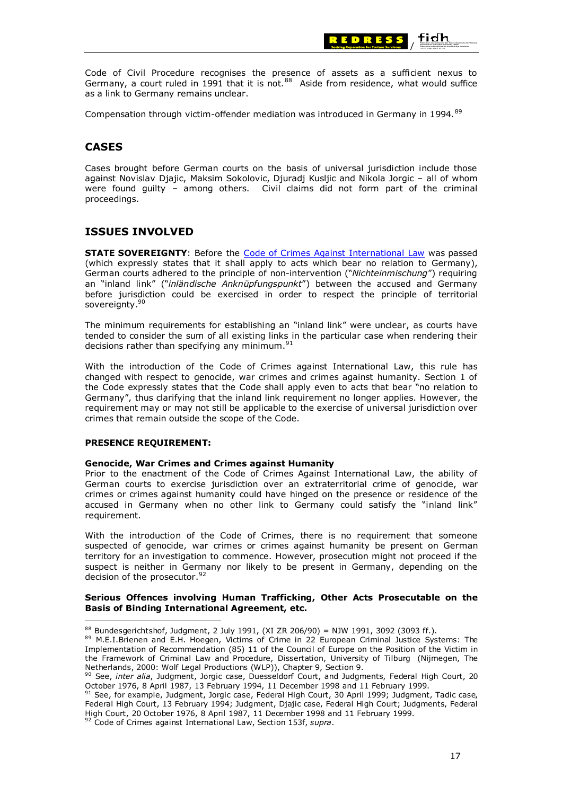

Code of Civil Procedure recognises the presence of assets as a sufficient nexus to Germany, a court ruled in 1991 that it is not. $88$  Aside from residence, what would suffice as a link to Germany remains unclear.

Compensation through victim-offender mediation was introduced in Germany in 1994.<sup>89</sup>

# **CASES**

Cases brought before German courts on the basis of universal jurisdiction include those against Novislav Djajic, Maksim Sokolovic, Djuradj Kusljic and Nikola Jorgic – all of whom were found guilty – among others. Civil claims did not form part of the criminal proceedings.

# **ISSUES INVOLVED**

**STATE SOVEREIGNTY**: Before the [Code of Crimes Against International Law](http://www.universaljurisdiction.info/index/Laws/Law_summaries/111467,0) was passed (which expressly states that it shall apply to acts which bear no relation to Germany), German courts adhered to the principle of non-intervention ("*Nichteinmischung*") requiring an "inland link" ("*inländische Anknüpfungspunkt*") between the accused and Germany before jurisdiction could be exercised in order to respect the principle of territorial sovereignty.<sup>90</sup>

The minimum requirements for establishing an "inland link" were unclear, as courts have tended to consider the sum of all existing links in the particular case when rendering their decisions rather than specifying any minimum.<sup>9</sup>

With the introduction of the Code of Crimes against International Law, this rule has changed with respect to genocide, war crimes and crimes against humanity. Section 1 of the Code expressly states that the Code shall apply even to acts that bear "no relation to Germany", thus clarifying that the inland link requirement no longer applies. However, the requirement may or may not still be applicable to the exercise of universal jurisdiction over crimes that remain outside the scope of the Code.

#### **PRESENCE REQUIREMENT:**

#### **Genocide, War Crimes and Crimes against Humanity**

Prior to the enactment of the Code of Crimes Against International Law, the ability of German courts to exercise jurisdiction over an extraterritorial crime of genocide, war crimes or crimes against humanity could have hinged on the presence or residence of the accused in Germany when no other link to Germany could satisfy the "inland link" requirement.

With the introduction of the Code of Crimes, there is no requirement that someone suspected of genocide, war crimes or crimes against humanity be present on German territory for an investigation to commence. However, prosecution might not proceed if the suspect is neither in Germany nor likely to be present in Germany, depending on the decision of the prosecutor.<sup>92</sup>

#### **Serious Offences involving Human Trafficking, Other Acts Prosecutable on the Basis of Binding International Agreement, etc.**

88 Bundesgerichtshof, Judgment, 2 July 1991, (XI ZR 206/90) = NJW 1991, 3092 (3093 ff.).

<sup>89</sup> M.E.I.Brienen and E.H. Hoegen, Victims of Crime in 22 European Criminal Justice Systems: The Implementation of Recommendation (85) 11 of the Council of Europe on the Position of the Victim in the Framework of Criminal Law and Procedure, Dissertation, University of Tilburg (Nijmegen, The Netherlands, 2000: Wolf Legal Productions (WLP)), Chapter 9, Section 9.

<sup>90</sup> See, *inter alia*, Judgment, Jorgic case, Duesseldorf Court, and Judgments, Federal High Court, 20 October 1976, 8 April 1987, 13 February 1994, 11 December 1998 and 11 February 1999.

<sup>91</sup> See, for example, Judgment, Jorgic case, Federal High Court, 30 April 1999; Judgment, Tadic case, Federal High Court, 13 February 1994; Judgment, Djajic case, Federal High Court; Judgments, Federal High Court, 20 October 1976, 8 April 1987, 11 December 1998 and 11 February 1999.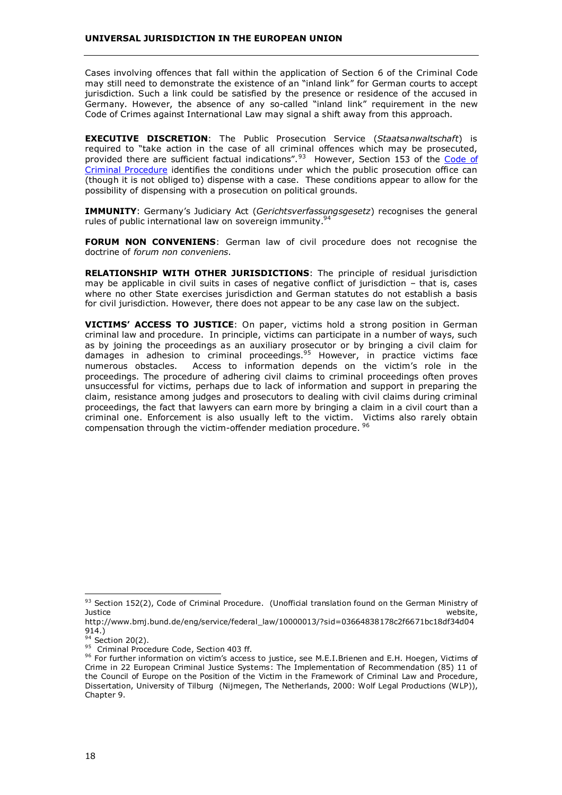Cases involving offences that fall within the application of Section 6 of the Criminal Code may still need to demonstrate the existence of an "inland link" for German courts to accept jurisdiction. Such a link could be satisfied by the presence or residence of the accused in Germany. However, the absence of any so-called "inland link" requirement in the new Code of Crimes against International Law may signal a shift away from this approach.

**EXECUTIVE DISCRETION**: The Public Prosecution Service (*Staatsanwaltschaft*) is required to "take action in the case of all criminal offences which may be prosecuted, provided there are sufficient factual indications".<sup>93</sup> However, Section 153 of the Code of [Criminal Procedure](http://www.universaljurisdiction.info/index/Laws/Law_summaries/111685,0) identifies the conditions under which the public prosecution office can (though it is not obliged to) dispense with a case. These conditions appear to allow for the possibility of dispensing with a prosecution on political grounds.

**IMMUNITY**: Germany's Judiciary Act (*Gerichtsverfassungsgesetz*) recognises the general rules of public international law on sovereign immunity.<sup>94</sup>

**FORUM NON CONVENIENS**: German law of civil procedure does not recognise the doctrine of *forum non conveniens*.

**RELATIONSHIP WITH OTHER JURISDICTIONS**: The principle of residual jurisdiction may be applicable in civil suits in cases of negative conflict of jurisdiction – that is, cases where no other State exercises jurisdiction and German statutes do not establish a basis for civil jurisdiction. However, there does not appear to be any case law on the subject.

**VICTIMS' ACCESS TO JUSTICE**: On paper, victims hold a strong position in German criminal law and procedure. In principle, victims can participate in a number of ways, such as by joining the proceedings as an auxiliary prosecutor or by bringing a civil claim for damages in adhesion to criminal proceedings.<sup>95</sup> However, in practice victims face numerous obstacles. Access to information depends on the victim's role in the proceedings. The procedure of adhering civil claims to criminal proceedings often proves unsuccessful for victims, perhaps due to lack of information and support in preparing the claim, resistance among judges and prosecutors to dealing with civil claims during criminal proceedings, the fact that lawyers can earn more by bringing a claim in a civil court than a criminal one. Enforcement is also usually left to the victim. Victims also rarely obtain compensation through the victim-offender mediation procedure. <sup>96</sup>

<sup>&</sup>lt;sup>93</sup> Section 152(2), Code of Criminal Procedure. (Unofficial translation found on the German Ministry of Justice Justice website,

http://www.bmj.bund.de/eng/service/federal\_law/10000013/?sid=03664838178c2f6671bc18df34d04 914.)<br><sup>94</sup> Section 20(2).

<sup>&</sup>lt;sup>95</sup> Criminal Procedure Code, Section 403 ff.

<sup>96</sup> For further information on victim's access to justice, see M.E.I.Brienen and E.H. Hoegen, Victims of Crime in 22 European Criminal Justice Systems: The Implementation of Recommendation (85) 11 of the Council of Europe on the Position of the Victim in the Framework of Criminal Law and Procedure, Dissertation, University of Tilburg (Nijmegen, The Netherlands, 2000: Wolf Legal Productions (WLP)), Chapter 9.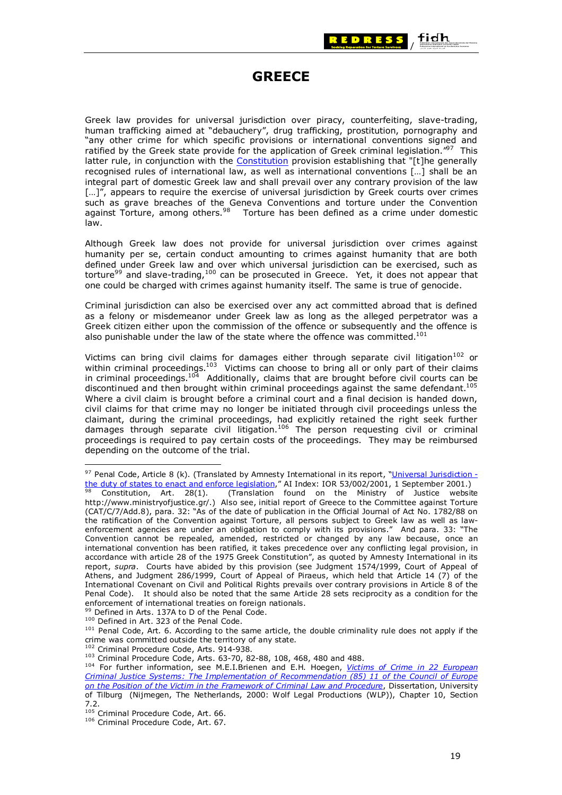

# **GREECE**

<span id="page-24-0"></span>Greek law provides for universal jurisdiction over piracy, counterfeiting, slave-trading, human trafficking aimed at "debauchery", drug trafficking, prostitution, pornography and "any other crime for which specific provisions or international conventions signed and ratified by the Greek state provide for the application of Greek criminal legislation. $^{97}$  This latter rule, in conjunction with the [Constitution](http://www.ministryofjustice.gr/eu2003/constitution.pdf) provision establishing that "[t]he generally recognised rules of international law, as well as international conventions […] shall be an integral part of domestic Greek law and shall prevail over any contrary provision of the law [...]", appears to require the exercise of universal jurisdiction by Greek courts over crimes such as grave breaches of the Geneva Conventions and torture under the Convention against Torture, among others.<sup>98</sup> Torture has been defined as a crime under domestic law.

Although Greek law does not provide for universal jurisdiction over crimes against humanity per se, certain conduct amounting to crimes against humanity that are both defined under Greek law and over which universal jurisdiction can be exercised, such as torture<sup>99</sup> and slave-trading,<sup>100</sup> can be prosecuted in Greece. Yet, it does not appear that one could be charged with crimes against humanity itself. The same is true of genocide.

Criminal jurisdiction can also be exercised over any act committed abroad that is defined as a felony or misdemeanor under Greek law as long as the alleged perpetrator was a Greek citizen either upon the commission of the offence or subsequently and the offence is also punishable under the law of the state where the offence was committed.<sup>101</sup>

Victims can bring civil claims for damages either through separate civil litigation<sup>102</sup> or within criminal proceedings.<sup>103</sup> Victims can choose to bring all or only part of their claims in criminal proceedings.<sup>104</sup> Additionally, claims that are brought before civil courts can be discontinued and then brought within criminal proceedings against the same defendant.<sup>105</sup> Where a civil claim is brought before a criminal court and a final decision is handed down, civil claims for that crime may no longer be initiated through civil proceedings unless the claimant, during the criminal proceedings, had explicitly retained the right seek further damages through separate civil litigation.<sup>106</sup> The person requesting civil or criminal proceedings is required to pay certain costs of the proceedings. They may be reimbursed depending on the outcome of the trial.

<sup>97</sup> Penal Code, Article 8 (k). (Translated by Amnesty International in its report, ["Universal Jurisdiction](http://web.amnesty.org/web/web.nsf/pages/legal_memorandum)  [the duty of states to enact and enforce legislation,](http://web.amnesty.org/web/web.nsf/pages/legal_memorandum)" AI Index: IOR 53/002/2001, 1 September 2001.)<br><sup>98</sup> Constitution, Art. 28(1). (Translation found on the Ministry of Justice website

http://www.ministryofjustice.gr/.) Also see, initial report of Greece to the Committee against Torture (CAT/C/7/Add.8), para. 32: "As of the date of publication in the Official Journal of Act No. 1782/88 on the ratification of the Convention against Torture, all persons subject to Greek law as well as lawenforcement agencies are under an obligation to comply with its provisions." And para. 33: "The Convention cannot be repealed, amended, restricted or changed by any law because, once an international convention has been ratified, it takes precedence over any conflicting legal provision, in accordance with article 28 of the 1975 Greek Constitution", as quoted by Amnesty International in its report, *supra*. Courts have abided by this provision (see Judgment 1574/1999, Court of Appeal of Athens, and Judgment 286/1999, Court of Appeal of Piraeus, which held that Article 14 (7) of the International Covenant on Civil and Political Rights prevails over contrary provisions in Article 8 of the Penal Code). It should also be noted that the same Article 28 sets reciprocity as a condition for the enforcement of international treaties on foreign nationals.<br><sup>99</sup> Defined in Arts. 137A to D of the Penal Code.

 $100$  Defined in Art. 323 of the Penal Code.<br> $101$  Penal Code, Art. 6. According to the same article, the double criminality rule does not apply if the crime was committed outside the territory of any state.

<sup>&</sup>lt;sup>102</sup> Criminal Procedure Code, Arts. 914-938.<br><sup>103</sup> Criminal Procedure Code, Arts. 63-70, 82-88, 108, 468, 480 and 488.<br><sup>104</sup> For further information, see M.E.I.Brienen and E.H. Hoegen, *Victims of Crime in 22 European [Criminal Justice Systems: The Implementation of Recommendation \(85\) 11 of the Council of Europe](http://www.victimology.nl/onlpub/Brienenhoegen/BH.html)  [on the Position of the Victim in the Framework of Criminal Law and Procedure](http://www.victimology.nl/onlpub/Brienenhoegen/BH.html)*, Dissertation, University of Tilburg (Nijmegen, The Netherlands, 2000: Wolf Legal Productions (WLP)), Chapter 10, Section 7.2.<br><sup>105</sup> Criminal Procedure Code, Art. 66.

<sup>&</sup>lt;sup>106</sup> Criminal Procedure Code, Art. 67.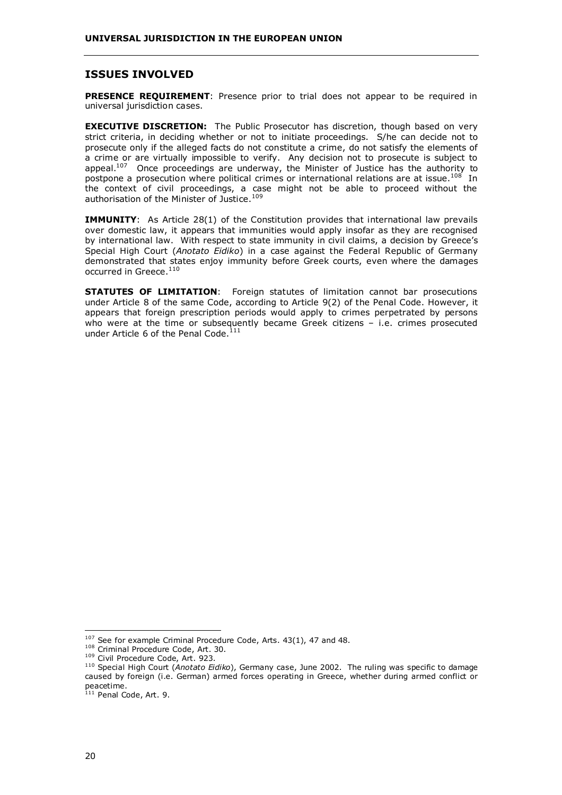### **ISSUES INVOLVED**

**PRESENCE REQUIREMENT:** Presence prior to trial does not appear to be required in universal jurisdiction cases.

**EXECUTIVE DISCRETION:** The Public Prosecutor has discretion, though based on very strict criteria, in deciding whether or not to initiate proceedings. S/he can decide not to prosecute only if the alleged facts do not constitute a crime, do not satisfy the elements of a crime or are virtually impossible to verify. Any decision not to prosecute is subject to appeal. $107$  Once proceedings are underway, the Minister of Justice has the authority to postpone a prosecution where political crimes or international relations are at issue.<sup>108</sup> In the context of civil proceedings, a case might not be able to proceed without the authorisation of the Minister of Justice.<sup>109</sup>

**IMMUNITY:** As Article 28(1) of the Constitution provides that international law prevails over domestic law, it appears that immunities would apply insofar as they are recognised by international law. With respect to state immunity in civil claims, a decision by Greece's Special High Court (*Anotato Eidiko*) in a case against the Federal Republic of Germany demonstrated that states enjoy immunity before Greek courts, even where the damages occurred in Greece.<sup>110</sup>

**STATUTES OF LIMITATION**: Foreign statutes of limitation cannot bar prosecutions under Article 8 of the same Code, according to Article 9(2) of the Penal Code. However, it appears that foreign prescription periods would apply to crimes perpetrated by persons who were at the time or subsequently became Greek citizens – i.e. crimes prosecuted under Article 6 of the Penal Code.<sup>111</sup>

 $107$  See for example Criminal Procedure Code, Arts. 43(1), 47 and 48.  $108$  Criminal Procedure Code, Art. 30.

<sup>&</sup>lt;sup>109</sup> Civil Procedure Code, Art. 923. 109 Civil Procedure Code, Art. 923. 110 Special High Court (*Anotato Eidiko*), Germany case, June 2002. The ruling was specific to damage caused by foreign (i.e. German) armed forces operating in Greece, whether during armed conflict or peacetime.

 $111$  Penal Code, Art. 9.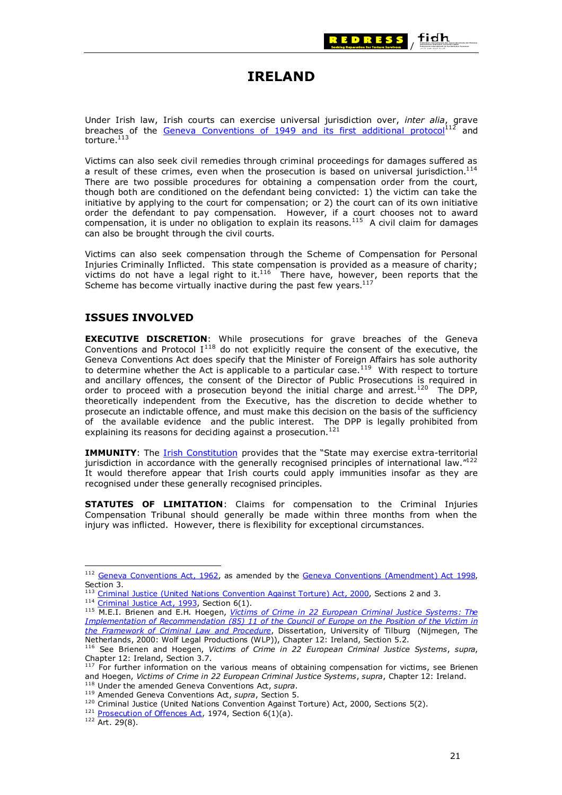

# **IRELAND**

<span id="page-26-0"></span>Under Irish law, Irish courts can exercise universal jurisdiction over, *inter alia*, grave breaches of the [Geneva Conventions of 1949 and its first additional protocol](http://www.icrc.org/ihl.nsf/WebCONVFULL?OpenView)<sup>112</sup> and torture.<sup>113</sup>

Victims can also seek civil remedies through criminal proceedings for damages suffered as a result of these crimes, even when the prosecution is based on universal jurisdiction.<sup>114</sup> There are two possible procedures for obtaining a compensation order from the court, though both are conditioned on the defendant being convicted: 1) the victim can take the initiative by applying to the court for compensation; or 2) the court can of its own initiative order the defendant to pay compensation. However, if a court chooses not to award compensation, it is under no obligation to explain its reasons.<sup>115</sup> A civil claim for damages can also be brought through the civil courts.

Victims can also seek compensation through the Scheme of Compensation for Personal Injuries Criminally Inflicted. This state compensation is provided as a measure of charity; victims do not have a legal right to it.<sup>116</sup> There have, however, been reports that the Scheme has become virtually inactive during the past few years. $117$ 

### **ISSUES INVOLVED**

**EXECUTIVE DISCRETION**: While prosecutions for grave breaches of the Geneva Conventions and Protocol  $I^{118}$  do not explicitly require the consent of the executive, the Geneva Conventions Act does specify that the Minister of Foreign Affairs has sole authority to determine whether the Act is applicable to a particular case.<sup>119</sup> With respect to torture and ancillary offences, the consent of the Director of Public Prosecutions is required in order to proceed with a prosecution beyond the initial charge and arrest.<sup>120</sup> The DPP, theoretically independent from the Executive, has the discretion to decide whether to prosecute an indictable offence, and must make this decision on the basis of the sufficiency of the available evidence and the public interest. The DPP is legally prohibited from explaining its reasons for deciding against a prosecution.<sup>121</sup>

**IMMUNITY**: The [Irish Constitution](http://www.taoiseach.gov.ie/upload/static/256.pdf) provides that the "State may exercise extra-territorial jurisdiction in accordance with the generally recognised principles of international law."<sup>122</sup> It would therefore appear that Irish courts could apply immunities insofar as they are recognised under these generally recognised principles.

**STATUTES OF LIMITATION**: Claims for compensation to the Criminal Injuries Compensation Tribunal should generally be made within three months from when the injury was inflicted. However, there is flexibility for exceptional circumstances.

<sup>&</sup>lt;sup>112</sup> [Geneva Conventions Act, 1962](http://www.irishstatutebook.ie/ZZA11Y1962.html), as amended by the [Geneva Conventions \(Amendment\) Act 1998,](http://www.irishstatutebook.ie/ZZA35Y1998.html) Section 3.<br><sup>113</sup> Criminal Justice (United Nations Convention Against Torture) Act, 2000, Sections 2 and 3.

<sup>&</sup>lt;sup>114</sup> Criminal Justice Act, 1993, Section 6(1).<br><sup>115</sup> M.E.I. Brienen and E.H. Hoegen, *Victims of Crime in 22 European Criminal Justice Systems: The [Implementation of Recommendation \(85\) 11 of the Council of Europe on the Position of the Victim in](http://www.victimology.nl/onlpub/Brienenhoegen/BH.html#index)  [the Framework of Criminal Law and Procedure](http://www.victimology.nl/onlpub/Brienenhoegen/BH.html#index)*, Dissertation, University of Tilburg (Nijmegen, The Netherlands, 2000: Wolf Legal Productions (WLP)), Chapter 12: Ireland, Section 5.2.

<sup>116</sup> See Brienen and Hoegen, *Victims of Crime in 22 European Criminal Justice Systems*, *supra*, Chapter 12: Ireland, Section 3.7.

 $117$  For further information on the various means of obtaining compensation for victims, see Brienen and Hoegen, *Victims of Crime in 22 European Criminal Justice Systems*, *supra*, Chapter 12: Ireland. <sup>118</sup> Under the amended Geneva Conventions Act, *supra*.

<sup>119</sup> Amended Geneva Conventions Act, *supra*, Section 5.<br><sup>120</sup> Criminal Justice (United Nations Convention Against Torture) Act, 2000, Sections 5(2).<br><sup>121</sup> Prosecution of Offences Act, 1974, Section 6(1)(a).<br><sup>122</sup> Art. 29(8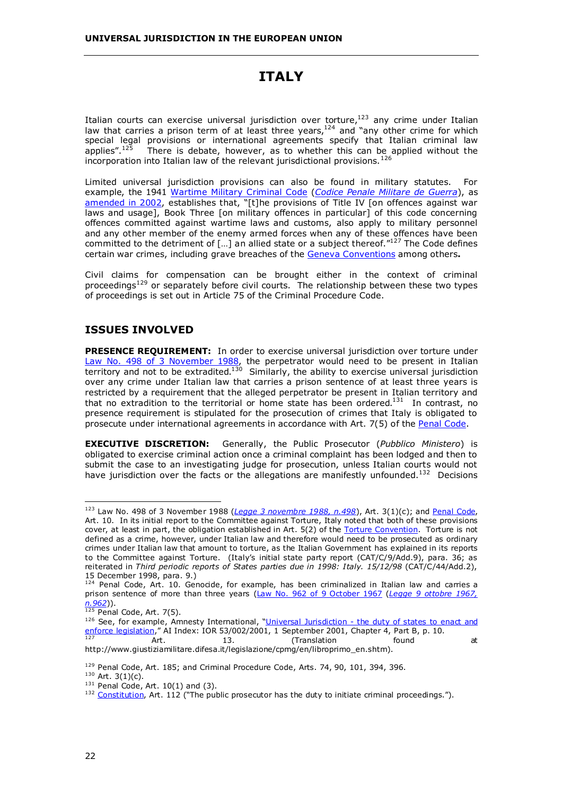# **ITALY**

<span id="page-27-0"></span>Italian courts can exercise universal jurisdiction over torture, $123$  any crime under Italian law that carries a prison term of at least three years, $124$  and "any other crime for which special legal provisions or international agreements specify that Italian criminal law applies".<sup>125</sup> There is debate, however, as to whether this can be applied without the incorporation into Italian law of the relevant jurisdictional provisions.<sup>126</sup>

Limited universal jurisdiction provisions can also be found in military statutes. For example, the 1941 [Wartime Military Criminal Code](http://www.giustiziamilitare.difesa.it/legislazione/cpmg/en/libroprimo_en.shtm) (*[Codice Penale Militare de Guerra](http://www.militari.org/legge/codice_penale_militare_guerra_libro_1.htm)*), as [amended in 2002,](http://www.giustiziamilitare.difesa.it/legislazione/enduring_freedom/Legge31gen02Enduring_freedom2.pdf) establishes that, "[t]he provisions of Title IV [on offences against war laws and usage], Book Three [on military offences in particular] of this code concerning offences committed against wartime laws and customs, also apply to military personnel and any other member of the enemy armed forces when any of these offences have been committed to the detriment of […] an allied state or a subject thereof."127 The Code defines certain war crimes, including grave breaches of the [Geneva Conventions](http://www.icrc.org/ihl.nsf/WebCONVFULL?OpenView) among others**.**

Civil claims for compensation can be brought either in the context of criminal proceedings<sup>129</sup> or separately before civil courts. The relationship between these two types of proceedings is set out in Article 75 of the Criminal Procedure Code.

# **ISSUES INVOLVED**

**PRESENCE REQUIREMENT:** In order to exercise universal jurisdiction over torture under [Law No. 498 of 3 November 1988,](http://www.giustizia.it/cassazione/leggi/l498_88.html) the perpetrator would need to be present in Italian territory and not to be extradited.<sup>130</sup> Similarly, the ability to exercise universal jurisdiction over any crime under Italian law that carries a prison sentence of at least three years is restricted by a requirement that the alleged perpetrator be present in Italian territory and that no extradition to the territorial or home state has been ordered.131 In contrast, no presence requirement is stipulated for the prosecution of crimes that Italy is obligated to prosecute under international agreements in accordance with Art. 7(5) of the [Penal Code.](http://www.usl4.toscana.it/dp/isll/lex/cp.htm)

**EXECUTIVE DISCRETION:** Generally, the Public Prosecutor (*Pubblico Ministero*) is obligated to exercise criminal action once a criminal complaint has been lodged and then to submit the case to an investigating judge for prosecution, unless Italian courts would not have jurisdiction over the facts or the allegations are manifestly unfounded.<sup>132</sup> Decisions

http://www.giustiziamilitare.difesa.it/legislazione/cpmg/en/libroprimo\_en.shtm).

<sup>&</sup>lt;sup>123</sup> Law No. 498 of 3 November 1988 (*[Legge 3 novembre 1988, n.498](http://www.giustizia.it/cassazione/leggi/l498_88.html)*), Art. 3(1)(c); and [Penal Code,](http://www.usl4.toscana.it/dp/isll/lex/cp.htm) Art. 10. In its initial report to the Committee against Torture, Italy noted that both of these provisions cover, at least in part, the obligation established in Art. 5(2) of the [Torture Convention.](http://www.unhchr.ch/html/menu3/b/h_cat39.htm) Torture is not defined as a crime, however, under Italian law and therefore would need to be prosecuted as ordinary crimes under Italian law that amount to torture, as the Italian Government has explained in its reports to the Committee against Torture. (Italy's initial state party report (CAT/C/9/Add.9), para. 36; as reiterated in *Third periodic reports of States parties due in 1998: Italy. 15/12/98* (CAT/C/44/Add.2), 15 December 1998, para. 9.)

<sup>124</sup> Penal Code, Art. 10. Genocide, for example, has been criminalized in Italian law and carries a prison sentence of more than three years [\(Law No. 962 of 9 October 1967](http://www.preventgenocide.org/it/legge.htm#trans) (*[Legge 9 ottobre 1967,](http://www.stranieriinitalia.it/razzismo/genocidio.html) n.962*)).<br>
<sup>125</sup> Penal Code, Art. 7(5).

<sup>&</sup>lt;sup>126</sup> See, for example, Amnesty International, "Universal Jurisdiction - the duty of states to enact and [enforce legislation,](http://web.amnesty.org/web/web.nsf/pages/legal_memorandum)" AI Index: IOR 53/002/2001, 1 September 2001, Chapter 4, Part B, p. 10.<br>127 **Art.** 13. (Translation found at

<sup>&</sup>lt;sup>129</sup> Penal Code, Art. 185; and Criminal Procedure Code, Arts. 74, 90, 101, 394, 396.<br><sup>130</sup> Art. 3(1)(c).<br><sup>131</sup> Penal Code, Art. 10(1) and (3).<br><sup>131</sup> [Constitution](http://www.oefre.unibe.ch/law/icl/it00000_.html), Art. 112 ("The public prosecutor has the duty to initiate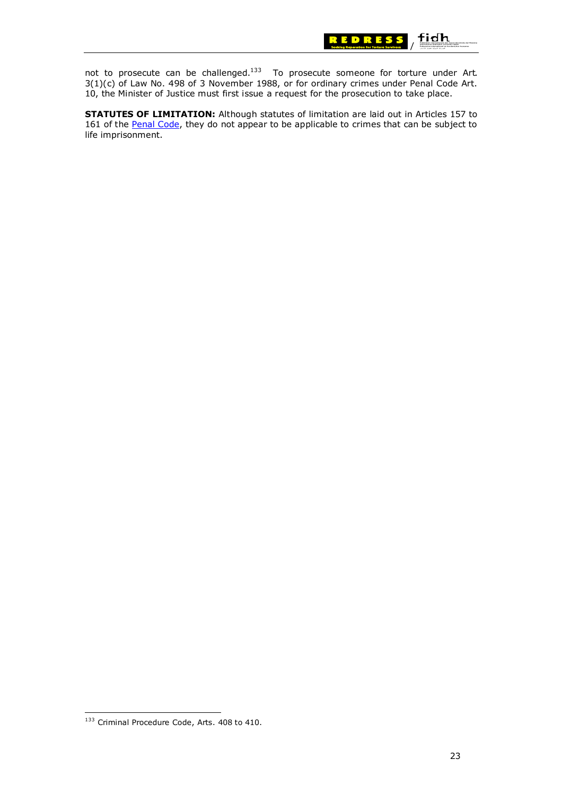

not to prosecute can be challenged.<sup>133</sup> To prosecute someone for torture under Art. 3(1)(c) of Law No. 498 of 3 November 1988, or for ordinary crimes under Penal Code Art. 10, the Minister of Justice must first issue a request for the prosecution to take place.

**STATUTES OF LIMITATION:** Although statutes of limitation are laid out in Articles 157 to 161 of the [Penal Code,](http://www.usl4.toscana.it/dp/isll/lex/cp_l1.htm) they do not appear to be applicable to crimes that can be subject to life imprisonment.

<sup>133</sup> Criminal Procedure Code, Arts. 408 to 410.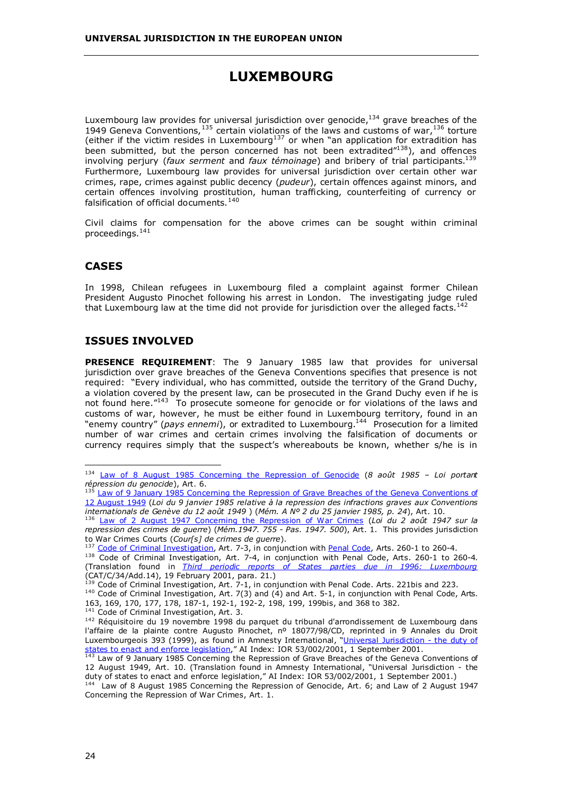# **LUXEMBOURG**

<span id="page-29-0"></span>Luxembourg law provides for universal jurisdiction over genocide, $134$  grave breaches of the 1949 Geneva Conventions,  $135$  certain violations of the laws and customs of war,  $136$  torture (either if the victim resides in Luxembourg<sup>137</sup> or when "an application for extradition has been submitted, but the person concerned has not been extradited<sup>"138</sup>), and offences involving perjury (*faux serment* and *faux témoinage*) and bribery of trial participants.139 Furthermore, Luxembourg law provides for universal jurisdiction over certain other war crimes, rape, crimes against public decency (*pudeur*), certain offences against minors, and certain offences involving prostitution, human trafficking, counterfeiting of currency or falsification of official documents. $140$ 

Civil claims for compensation for the above crimes can be sought within criminal proceedings.<sup>141</sup>

### **CASES**

In 1998, Chilean refugees in Luxembourg filed a complaint against former Chilean President Augusto Pinochet following his arrest in London. The investigating judge ruled that Luxembourg law at the time did not provide for jurisdiction over the alleged facts.<sup>142</sup>

### **ISSUES INVOLVED**

**PRESENCE REQUIREMENT**: The 9 January 1985 law that provides for universal jurisdiction over grave breaches of the Geneva Conventions specifies that presence is not required: "Every individual, who has committed, outside the territory of the Grand Duchy, a violation covered by the present law, can be prosecuted in the Grand Duchy even if he is not found here.<sup>"143</sup> To prosecute someone for genocide or for violations of the laws and customs of war, however, he must be either found in Luxembourg territory, found in an "enemy country" (*pays ennemi*), or extradited to Luxembourg.144 Prosecution for a limited number of war crimes and certain crimes involving the falsification of documents or currency requires simply that the suspect's whereabouts be known, whether s/he is in

<sup>134</sup> [Law of 8 August 1985 Concerning the Repression of Genocide](http://www.etat.lu/LEGILUX/DOCUMENTS_PDF/LOIS_SPECIALES/GENOCIDE.pdf) (*8 août 1985 – Loi portant répression du genocide*), Art. 6.<br><sup>135</sup> Law of 9 January 1985 Concerning the Repression of Grave Breaches of the Geneva Conventions of

[<sup>12</sup> August 1949](http://www.etat.lu/legilux/DOCUMENTS_PDF/MEMORIAL/memorial/a/1985/a0022501.pdf) (*Loi du 9 janvier 1985 relative à la repression des infractions graves aux Conventions* 

*internationals de Genève du 12 août 1949* ) (*Mém. A Nº 2 du 25 janvier 1985, p. 24*), Art. 10. 136 [Law of 2 August 1947 Concerning the Repression of War Crimes](http://www.etat.lu/legilux/DOCUMENTS_PDF/MEMORIAL/memorial/a/1947/a0381108.pdf) (*Loi du 2 août 1947 sur la repression des crimes de guerre*) (*Mém.1947. 755 - Pas. 1947. 500*), Art. 1. This provides jurisdiction

to War Crimes Courts (Cour[s] de crimes de guerre).<br><sup>137</sup> Code of Criminal Investigation, Art. 7-3, in conjunction with [Penal Code](http://www.etat.lu/LEGILUX/DOCUMENTS_PDF/CODES/CODE_PENAL/cp_L1.pdf), Arts. 260-1 to 260-4.<br><sup>138</sup> Code of Criminal Investigation, Art. 7-4, in conjunction with

<sup>(</sup>Translation found in *[Third periodic reports of States parties due in 1996: Luxembourg](http://www.unhchr.ch/tbs/doc.nsf/898586b1dc7b4043c1256a450044f331/4870d067077d49bac1256a26004c2298/$FILE/G0140620.pdf)* (CAT/C/34/Add.14), 19 February 2001, para. 21.)

 $140$  Code of Criminal Investigation, Art. 7(3) and (4) and Art. 5-1, in conjunction with Penal Code, Arts. 163, 169, 170, 177, 178, 187-1, 192-1, 192-2, 198, 199, 199bis, and 368 to 382.<br><sup>141</sup> Code of Criminal Investigation, Art. 3.

<sup>&</sup>lt;sup>142</sup> Réquisitoire du 19 novembre 1998 du parquet du tribunal d'arrondissement de Luxembourg dans l'affaire de la plainte contre Augusto Pinochet, nº 18077/98/CD, reprinted in 9 Annales du Droit Luxembourgeois 393 (1999), as found in Amnesty International, "[Universal Jurisdiction - the duty of](http://web.amnesty.org/web/web.nsf/pages/legal_memorandum)  [states to enact and enforce legislation,](http://web.amnesty.org/web/web.nsf/pages/legal_memorandum)" AI Index: IOR 53/002/2001, 1 September 2001.<br><sup>143</sup> Law of 9 January 1985 Concerning the Repression of Grave Breaches of the Geneva Conventions of

<sup>12</sup> August 1949, Art. 10. (Translation found in Amnesty International, "Universal Jurisdiction - the duty of states to enact and enforce legislation," AI Index: IOR 53/002/2001, 1 September 2001.)

<sup>&</sup>lt;sup>144</sup> Law of 8 August 1985 Concerning the Repression of Genocide, Art. 6; and Law of 2 August 1947 Concerning the Repression of War Crimes, Art. 1.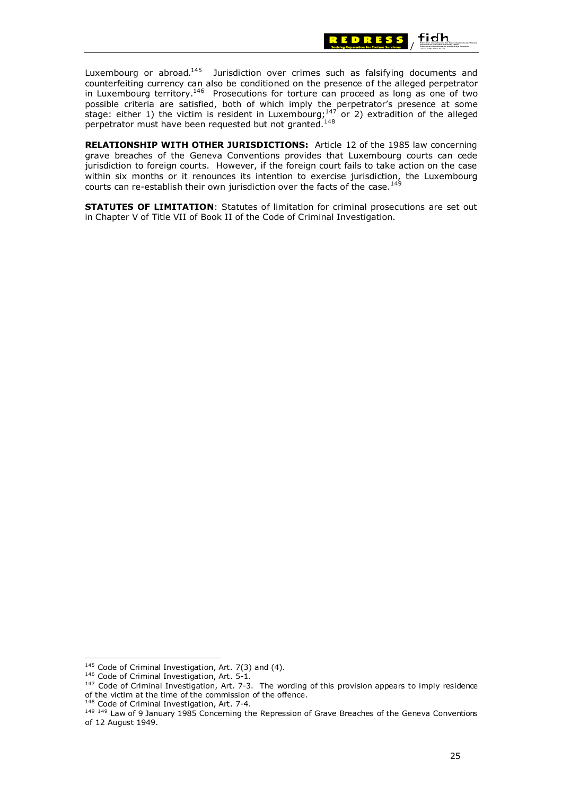

Luxembourg or abroad. $145$  Jurisdiction over crimes such as falsifying documents and counterfeiting currency can also be conditioned on the presence of the alleged perpetrator in Luxembourg territory.<sup>146</sup> Prosecutions for torture can proceed as long as one of two possible criteria are satisfied, both of which imply the perpetrator's presence at some stage: either 1) the victim is resident in Luxembourg;<sup>147</sup> or 2) extradition of the alleged perpetrator must have been requested but not granted.<sup>148</sup>

**RELATIONSHIP WITH OTHER JURISDICTIONS:** Article 12 of the 1985 law concerning grave breaches of the Geneva Conventions provides that Luxembourg courts can cede jurisdiction to foreign courts. However, if the foreign court fails to take action on the case within six months or it renounces its intention to exercise jurisdiction, the Luxembourg courts can re-establish their own jurisdiction over the facts of the case.<sup>149</sup>

**STATUTES OF LIMITATION**: Statutes of limitation for criminal prosecutions are set out in Chapter V of Title VII of Book II of the Code of Criminal Investigation.

<sup>&</sup>lt;sup>145</sup> Code of Criminal Investigation, Art. 7(3) and (4).<br><sup>146</sup> Code of Criminal Investigation, Art. 5-1.<br><sup>147</sup> Code of Criminal Investigation, Art. 7-3. The wording of this provision appears to imply residence of the victim at the time of the commission of the offence.<br><sup>148</sup> Code of Criminal Investigation, Art. 7-4.

<sup>&</sup>lt;sup>149 149</sup> Law of 9 January 1985 Concerning the Repression of Grave Breaches of the Geneva Conventions of 12 August 1949.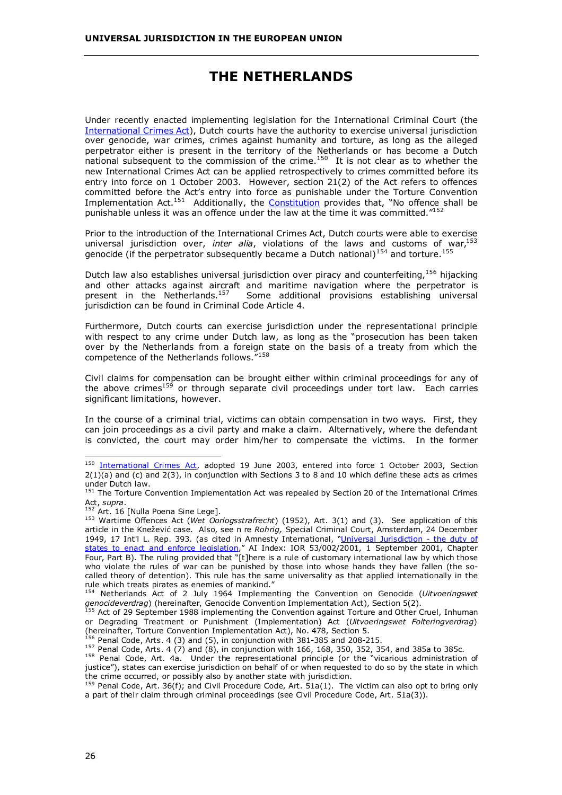# **THE NETHERLANDS**

<span id="page-31-0"></span>Under recently enacted implementing legislation for the International Criminal Court (the [International Crimes Act\)](http://www.minbuza.nl/default.asp?CMS_ITEM=48969E53AB41497BB614E6E9EAABF9E0X3X35905X73), Dutch courts have the authority to exercise universal jurisdiction over genocide, war crimes, crimes against humanity and torture, as long as the alleged perpetrator either is present in the territory of the Netherlands or has become a Dutch national subsequent to the commission of the crime.<sup>150</sup> It is not clear as to whether the new International Crimes Act can be applied retrospectively to crimes committed before its entry into force on 1 October 2003. However, section 21(2) of the Act refers to offences committed before the Act's entry into force as punishable under the Torture Convention Implementation Act.<sup>151</sup> Additionally, the **[Constitution](http://www.geocities.com/CapitolHill/Lobby/2445/nl00000_.html)** provides that, "No offence shall be punishable unless it was an offence under the law at the time it was committed."152

Prior to the introduction of the International Crimes Act, Dutch courts were able to exercise universal jurisdiction over, *inter alia*, violations of the laws and customs of war.<sup>153</sup> genocide (if the perpetrator subsequently became a Dutch national)<sup>154</sup> and torture.<sup>155</sup>

Dutch law also establishes universal jurisdiction over piracy and counterfeiting, <sup>156</sup> hijacking and other attacks against aircraft and maritime navigation where the perpetrator is present in the Netherlands.<sup>157</sup> Some additional provisions establishing universal jurisdiction can be found in Criminal Code Article 4.

Furthermore, Dutch courts can exercise jurisdiction under the representational principle with respect to any crime under Dutch law, as long as the "prosecution has been taken over by the Netherlands from a foreign state on the basis of a treaty from which the competence of the Netherlands follows."<sup>158</sup>

Civil claims for compensation can be brought either within criminal proceedings for any of the above crimes<sup>159</sup> or through separate civil proceedings under tort law. Each carries significant limitations, however.

In the course of a criminal trial, victims can obtain compensation in two ways. First, they can join proceedings as a civil party and make a claim. Alternatively, where the defendant is convicted, the court may order him/her to compensate the victims. In the former

<sup>&</sup>lt;sup>150</sup> [International Crimes Act](http://www.minbuza.nl/default.asp?CMS_ITEM=48969E53AB41497BB614E6E9EAABF9E0X3X35905X73), adopted 19 June 2003, entered into force 1 October 2003, Section 2(1)(a) and (c) and 2(3), in conjunction with Sections 3 to 8 and 10 which define these acts as crimes under Dutch law.

<sup>&</sup>lt;sup>151</sup> The Torture Convention Implementation Act was repealed by Section 20 of the International Crimes Act, *supra*.<br><sup>152</sup> Art. 16 [Nulla Poena Sine Lege].

<sup>&</sup>lt;sup>153</sup> Wartime Offences Act (Wet Oorlogsstrafrecht) (1952), Art. 3(1) and (3). See application of this article in the Knežević case. Also, see n re *Rohrig,* Special Criminal Court, Amsterdam, 24 December 1949, 17 Int'l L. Rep. 393. (as cited in Amnesty International, "[Universal Jurisdiction - the duty of](http://web.amnesty.org/web/web.nsf/pages/legal_memorandum)  [states to enact and enforce legislation,](http://web.amnesty.org/web/web.nsf/pages/legal_memorandum)" AI Index: IOR 53/002/2001, 1 September 2001, Chapter Four, Part B). The ruling provided that "[t]here is a rule of customary international law by which those who violate the rules of war can be punished by those into whose hands they have fallen (the socalled theory of detention). This rule has the same universality as that applied internationally in the rule which treats pirates as enemies of mankind."

<sup>154</sup> Netherlands Act of 2 July 1964 Implementing the Convention on Genocide (*Uitvoeringswet genocideverdrag*) (hereinafter, Genocide Convention Implementation Act), Section 5(2).

<sup>&</sup>lt;sup>155</sup> Act of 29 September 1988 implementing the Convention against Torture and Other Cruel, Inhuman or Degrading Treatment or Punishment (Implementation) Act (*Uitvoeringswet Folteringverdrag*) (hereinafter, Torture Convention Implementation  $Act$ ), No. 478, Section 5.<br><sup>156</sup> Penal Code, Arts. 4 (3) and (5), in conjunction with 381-385 and 208-215.

<sup>157</sup> Penal Code, Arts. 4 (7) and (8), in conjunction with 166, 168, 350, 352, 354, and 385a to 385c.<br><sup>158</sup> Penal Code, Arts. 4 (7) and (8), in conjunction with 166, 168, 350, 352, 354, and 385a to 385c.

justice"), states can exercise jurisdiction on behalf of or when requested to do so by the state in which the crime occurred, or possibly also by another state with jurisdiction.

<sup>&</sup>lt;sup>159</sup> Penal Code, Art. 36(f); and Civil Procedure Code, Art. 51a(1). The victim can also opt to bring only a part of their claim through criminal proceedings (see Civil Procedure Code, Art. 51a(3)).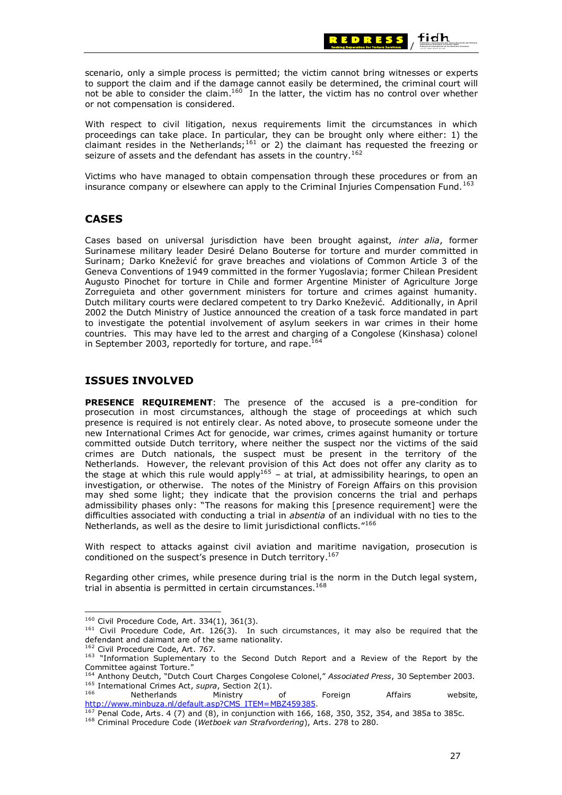

/

 $\operatorname{\mathsf{fid}}$ h

With respect to civil litigation, nexus requirements limit the circumstances in which proceedings can take place. In particular, they can be brought only where either: 1) the claimant resides in the Netherlands;<sup>161</sup> or 2) the claimant has requested the freezing or seizure of assets and the defendant has assets in the country.<sup>162</sup>

Victims who have managed to obtain compensation through these procedures or from an insurance company or elsewhere can apply to the Criminal Injuries Compensation Fund.<sup>163</sup>

#### **CASES**

Cases based on universal jurisdiction have been brought against, *inter alia*, former Surinamese military leader Desiré Delano Bouterse for torture and murder committed in Surinam; Darko Knežević for grave breaches and violations of Common Article 3 of the Geneva Conventions of 1949 committed in the former Yugoslavia; former Chilean President Augusto Pinochet for torture in Chile and former Argentine Minister of Agriculture Jorge Zorreguieta and other government ministers for torture and crimes against humanity. Dutch military courts were declared competent to try Darko Knežević. Additionally, in April 2002 the Dutch Ministry of Justice announced the creation of a task force mandated in part to investigate the potential involvement of asylum seekers in war crimes in their home countries. This may have led to the arrest and charging of a Congolese (Kinshasa) colonel in September 2003, reportedly for torture, and rape.<sup>164</sup>

### **ISSUES INVOLVED**

or not compensation is considered.

**PRESENCE REQUIREMENT**: The presence of the accused is a pre-condition for prosecution in most circumstances, although the stage of proceedings at which such presence is required is not entirely clear. As noted above, to prosecute someone under the new International Crimes Act for genocide, war crimes, crimes against humanity or torture committed outside Dutch territory, where neither the suspect nor the victims of the said crimes are Dutch nationals, the suspect must be present in the territory of the Netherlands. However, the relevant provision of this Act does not offer any clarity as to the stage at which this rule would apply<sup>165</sup> – at trial, at admissibility hearings, to open an investigation, or otherwise. The notes of the Ministry of Foreign Affairs on this provision may shed some light; they indicate that the provision concerns the trial and perhaps admissibility phases only: "The reasons for making this [presence requirement] were the difficulties associated with conducting a trial in *absentia* of an individual with no ties to the Netherlands, as well as the desire to limit jurisdictional conflicts."<sup>166</sup>

With respect to attacks against civil aviation and maritime navigation, prosecution is conditioned on the suspect's presence in Dutch territory.<sup>167</sup>

Regarding other crimes, while presence during trial is the norm in the Dutch legal system, trial in absentia is permitted in certain circumstances.<sup>168</sup>

<sup>160</sup> Civil Procedure Code, Art. 334(1), 361(3).

<sup>161</sup> Civil Procedure Code, Art. 126(3). In such circumstances, it may also be required that the defendant and claimant are of the same nationality.

<sup>&</sup>lt;sup>162</sup> Civil Procedure Code, Art. 767.<br><sup>163</sup> "Information Suplementary to the Second Dutch Report and a Review of the Report by the Committee against Torture."

<sup>&</sup>lt;sup>164</sup> Anthony Deutch, "Dutch Court Charges Congolese Colonel," *Associated Press*, 30 September 2003.<br>
<sup>165</sup> International Crimes Act, *supra*, Section 2(1).<br>
Ministry of Toreign Affairs website,

http://www.minbuza.nl/default.asp?CMS\_ITEM=MBZ459385

<sup>&</sup>lt;sup>167</sup> Penal Code, Arts. 4 (7) and (8), in conjunction with 166, 168, 350, 352, 354, and 385a to 385c. <sup>168</sup> Criminal Procedure Code (*Wetboek van Strafvordering*), Arts. 278 to 280.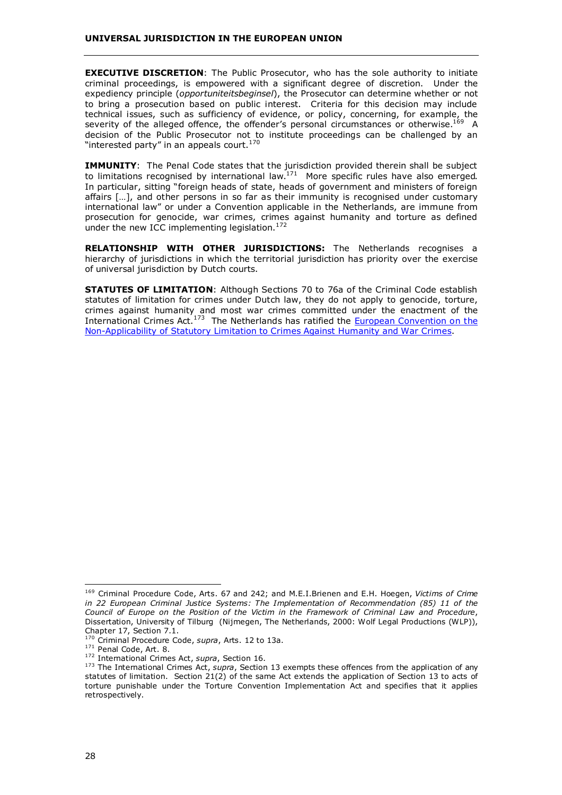**EXECUTIVE DISCRETION**: The Public Prosecutor, who has the sole authority to initiate criminal proceedings, is empowered with a significant degree of discretion. Under the expediency principle (*opportuniteitsbeginsel*), the Prosecutor can determine whether or not to bring a prosecution based on public interest. Criteria for this decision may include technical issues, such as sufficiency of evidence, or policy, concerning, for example, the severity of the alleged offence, the offender's personal circumstances or otherwise.<sup>169</sup> A decision of the Public Prosecutor not to institute proceedings can be challenged by an "interested party" in an appeals court.<sup>170</sup>

**IMMUNITY**: The Penal Code states that the jurisdiction provided therein shall be subject to limitations recognised by international law.<sup>171</sup> More specific rules have also emerged. In particular, sitting "foreign heads of state, heads of government and ministers of foreign affairs […], and other persons in so far as their immunity is recognised under customary international law" or under a Convention applicable in the Netherlands, are immune from prosecution for genocide, war crimes, crimes against humanity and torture as defined under the new ICC implementing legislation.<sup>172</sup>

**RELATIONSHIP WITH OTHER JURISDICTIONS:** The Netherlands recognises a hierarchy of jurisdictions in which the territorial jurisdiction has priority over the exercise of universal jurisdiction by Dutch courts.

**STATUTES OF LIMITATION**: Although Sections 70 to 76a of the Criminal Code establish statutes of limitation for crimes under Dutch law, they do not apply to genocide, torture, crimes against humanity and most war crimes committed under the enactment of the International Crimes Act.<sup>173</sup> The Netherlands has ratified the European Convention on the [Non-Applicability of Statutory Limitation to Crimes Against Humanity and War Crimes.](http://conventions.coe.int/Treaty/en/Treaties/Html/082.htm)

<sup>169</sup> Criminal Procedure Code, Arts. 67 and 242; and M.E.I.Brienen and E.H. Hoegen, *Victims of Crime in 22 European Criminal Justice Systems: The Implementation of Recommendation (85) 11 of the Council of Europe on the Position of the Victim in the Framework of Criminal Law and Procedure*, Dissertation, University of Tilburg (Nijmegen, The Netherlands, 2000: Wolf Legal Productions (WLP)), Chapter 17, Section 7.1.<br><sup>170</sup> Criminal Procedure Code, *supra*, Arts. 12 to 13a.

<sup>171</sup> Penal Code, Art. 8.<br>
<sup>172</sup> International Crimes Act, *supra*, Section 16.<br>
<sup>173</sup> The International Crimes Act, *supra*, Section 13 exempts these offences from the application of any statutes of limitation. Section 21(2) of the same Act extends the application of Section 13 to acts of torture punishable under the Torture Convention Implementation Act and specifies that it applies retrospectively.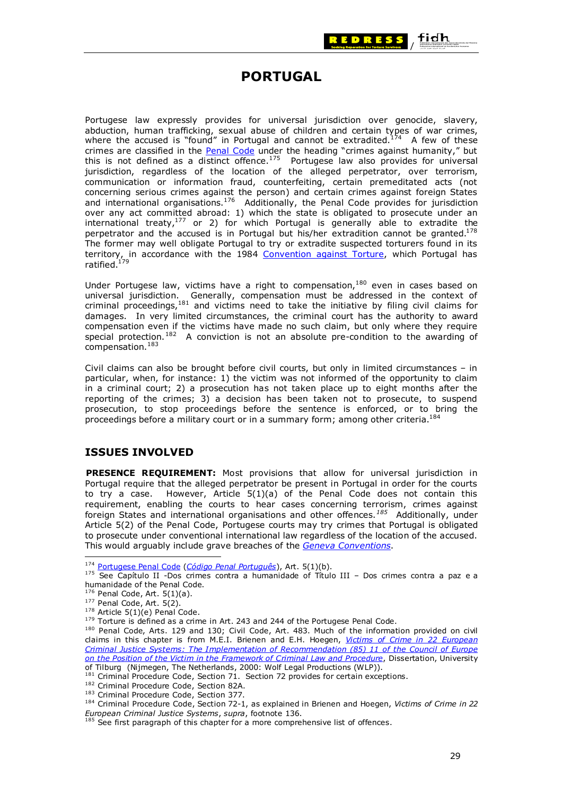

# **PORTUGAL**

<span id="page-34-0"></span>Portugese law expressly provides for universal jurisdiction over genocide, slavery, abduction, human trafficking, sexual abuse of children and certain types of war crimes, where the accused is "found" in Portugal and cannot be extradited.<sup>174</sup> A few of these crimes are classified in the [Penal Code](http://translate.google.com/translate?hl=en&sl=pt&u=http://www.cea.ucp.pt/lei/penal/penalind.htm&prev=/search?q=penal+code+of+p) under the heading "crimes against humanity," but this is not defined as a distinct offence.<sup>175</sup> Portugese law also provides for universal jurisdiction, regardless of the location of the alleged perpetrator, over terrorism, communication or information fraud, counterfeiting, certain premeditated acts (not concerning serious crimes against the person) and certain crimes against foreign States and international organisations.<sup>176</sup> Additionally, the Penal Code provides for jurisdiction over any act committed abroad: 1) which the state is obligated to prosecute under an international treaty, $177$  or 2) for which Portugal is generally able to extradite the perpetrator and the accused is in Portugal but his/her extradition cannot be granted.<sup>178</sup> The former may well obligate Portugal to try or extradite suspected torturers found in its territory, in accordance with the 1984 [Convention against Torture,](http://www.unhchr.ch/html/menu3/b/h_cat39.htm) which Portugal has ratified.179

Under Portugese law, victims have a right to compensation,<sup>180</sup> even in cases based on universal jurisdiction. Generally, compensation must be addressed in the context of criminal proceedings,<sup>181</sup> and victims need to take the initiative by filing civil claims for damages. In very limited circumstances, the criminal court has the authority to award compensation even if the victims have made no such claim, but only where they require special protection.<sup>182</sup> A conviction is not an absolute pre-condition to the awarding of compensation.<sup>183</sup>

Civil claims can also be brought before civil courts, but only in limited circumstances – in particular, when, for instance: 1) the victim was not informed of the opportunity to claim in a criminal court; 2) a prosecution has not taken place up to eight months after the reporting of the crimes; 3) a decision has been taken not to prosecute, to suspend prosecution, to stop proceedings before the sentence is enforced, or to bring the proceedings before a military court or in a summary form; among other criteria.<sup>184</sup>

## **ISSUES INVOLVED**

**PRESENCE REQUIREMENT:** Most provisions that allow for universal jurisdiction in Portugal require that the alleged perpetrator be present in Portugal in order for the courts to try a case. However, Article 5(1)(a) of the Penal Code does not contain this requirement, enabling the courts to hear cases concerning terrorism, crimes against foreign States and international organisations and other offences.*<sup>185</sup>* Additionally, under Article 5(2) of the Penal Code, Portugese courts may try crimes that Portugal is obligated to prosecute under conventional international law regardless of the location of the accused. This would arguably include grave breaches of the *[Geneva Conventions](http://www.icrc.org/ihl.nsf/WebCONVFULL?OpenView)*.

<sup>&</sup>lt;sup>174</sup> Portugese Penal Code (*Código Penal Português*), Art. 5(1)(b).<br><sup>175</sup> See Capítulo II -Dos crimes contra a humanidade of Título III – Dos crimes contra a paz e a humanidade of the Penal Code.<br><sup>176</sup> Penal Code, Art. 5(1)(a).

<sup>&</sup>lt;sup>177</sup> Penal Code, Art. 5(2).<br><sup>178</sup> Article 5(1)(e) Penal Code.<br><sup>179</sup> Torture is defined as a crime in Art. 243 and 244 of the Portugese Penal Code.<br><sup>179</sup> Torture is defined as a crime in Art. 243 and 244 of the Portugese claims in this chapter is from M.E.I. Brienen and E.H. Hoegen, *Victims of Crime in 22 European [Criminal Justice Systems: The Implementation of Recommendation \(85\) 11 of the Council of Europe](http://www.victimology.nl/onlpub/Brienenhoegen/BH.html#index)  [on the Position of the Victim in the Framework of Criminal Law and Procedure](http://www.victimology.nl/onlpub/Brienenhoegen/BH.html#index)*, Dissertation, University

of Tilburg (Nijmegen, The Netherlands, 2000: Wolf Legal Productions (WLP)).<br><sup>181</sup> Criminal Procedure Code, Section 71. Section 72 provides for certain exceptions.

<sup>&</sup>lt;sup>182</sup> Criminal Procedure Code, Section 82A.<br><sup>183</sup> Criminal Procedure Code, Section 377.<br><sup>184</sup> Criminal Procedure Code, Section 72-1, as explained in Brienen and Hoegen, *Victims of Crime in 22 European Criminal Justice Systems, supra, footnote 136.* 185.<br><sup>185</sup> See first paragraph of this chapter for a more comprehensive list of offences.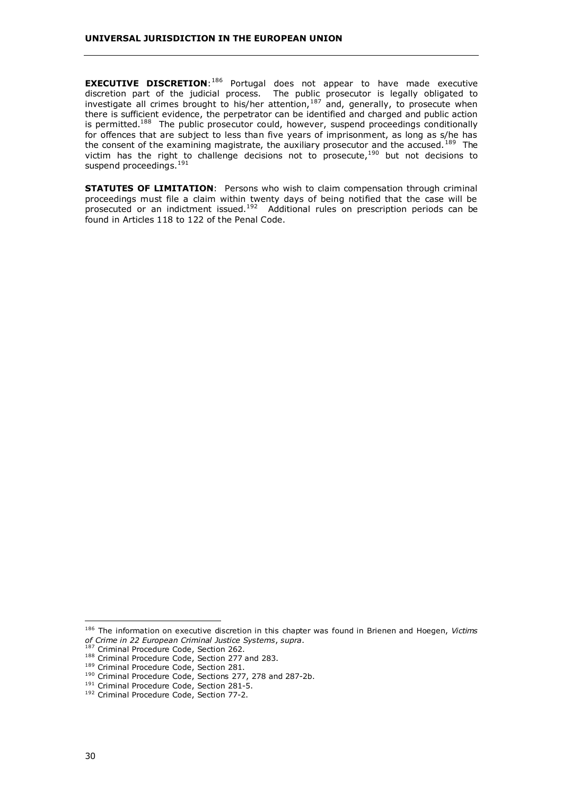**EXECUTIVE DISCRETION:**<sup>186</sup> Portugal does not appear to have made executive discretion part of the judicial process. The public prosecutor is legally obligated to investigate all crimes brought to his/her attention,  $187$  and, generally, to prosecute when there is sufficient evidence, the perpetrator can be identified and charged and public action is permitted.<sup>188</sup> The public prosecutor could, however, suspend proceedings conditionally for offences that are subject to less than five years of imprisonment, as long as s/he has the consent of the examining magistrate, the auxiliary prosecutor and the accused.<sup>189</sup> The victim has the right to challenge decisions not to prosecute,<sup>190</sup> but not decisions to suspend proceedings.<sup>191</sup>

**STATUTES OF LIMITATION:** Persons who wish to claim compensation through criminal proceedings must file a claim within twenty days of being notified that the case will be prosecuted or an indictment issued.<sup>192</sup> Additional rules on prescription periods can be found in Articles 118 to 122 of the Penal Code.

<sup>186</sup> The information on executive discretion in this chapter was found in Brienen and Hoegen, *Victims of Crime in 22 European Criminal Justice Systems*, *supra*.

<sup>&</sup>lt;sup>188</sup> Criminal Procedure Code, Section 277 and 283.<br><sup>189</sup> Criminal Procedure Code, Section 281.<br><sup>190</sup> Criminal Procedure Code, Sections 277, 278 and 287-2b.<br><sup>191</sup> Criminal Procedure Code, Section 281-5.<br><sup>192</sup> Criminal Proc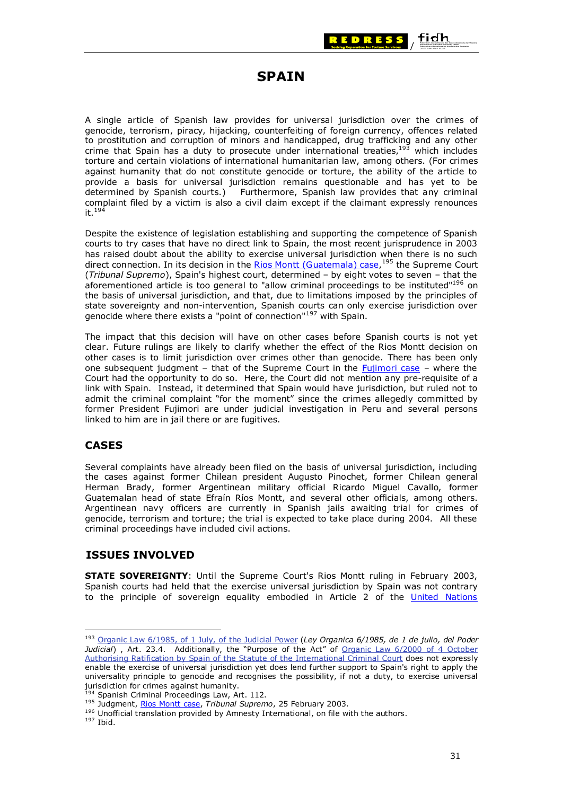

# **SPAIN**

<span id="page-36-0"></span>A single article of Spanish law provides for universal jurisdiction over the crimes of genocide, terrorism, piracy, hijacking, counterfeiting of foreign currency, offences related to prostitution and corruption of minors and handicapped, drug trafficking and any other crime that Spain has a duty to prosecute under international treaties, $193$  which includes torture and certain violations of international humanitarian law, among others. (For crimes against humanity that do not constitute genocide or torture, the ability of the article to provide a basis for universal jurisdiction remains questionable and has yet to be determined by Spanish courts.) Furthermore, Spanish law provides that any criminal complaint filed by a victim is also a civil claim except if the claimant expressly renounces it. $194$ 

Despite the existence of legislation establishing and supporting the competence of Spanish courts to try cases that have no direct link to Spain, the most recent jurisprudence in 2003 has raised doubt about the ability to exercise universal jurisdiction when there is no such direct connection. In its decision in the [Rios Montt \(Guatemala\) case,](http://www.universaljurisdiction.info/index/Cases/Cases/Spain_-_Rios_Montt_(Guatemala)_case_/Case_Doc_Summaries/117135,0) <sup>195</sup> the Supreme Court (*Tribunal Supremo*), Spain's highest court, determined – by eight votes to seven – that the aforementioned article is too general to "allow criminal proceedings to be instituted"196 on the basis of universal jurisdiction, and that, due to limitations imposed by the principles of state sovereignty and non-intervention, Spanish courts can only exercise jurisdiction over genocide where there exists a "point of connection"<sup>197</sup> with Spain.

The impact that this decision will have on other cases before Spanish courts is not yet clear. Future rulings are likely to clarify whether the effect of the Rios Montt decision on other cases is to limit jurisdiction over crimes other than genocide. There has been only one subsequent judgment – that of the Supreme Court in the [Fujimori case](http://www.universaljurisdiction.info/index/Cases/Cases/Spain_-_Fujimori_case/Case_Doc_Summaries/128118,0) – where the Court had the opportunity to do so. Here, the Court did not mention any pre-requisite of a link with Spain. Instead, it determined that Spain would have jurisdiction, but ruled not to admit the criminal complaint "for the moment" since the crimes allegedly committed by former President Fujimori are under judicial investigation in Peru and several persons linked to him are in jail there or are fugitives.

## **CASES**

Several complaints have already been filed on the basis of universal jurisdiction, including the cases against former Chilean president Augusto Pinochet, former Chilean general Herman Brady, former Argentinean military official Ricardo Miguel Cavallo, former Guatemalan head of state Efraín Ríos Montt, and several other officials, among others. Argentinean navy officers are currently in Spanish jails awaiting trial for crimes of genocide, terrorism and torture; the trial is expected to take place during 2004. All these criminal proceedings have included civil actions.

## **ISSUES INVOLVED**

**STATE SOVEREIGNTY**: Until the Supreme Court's Rios Montt ruling in February 2003, Spanish courts had held that the exercise universal jurisdiction by Spain was not contrary to the principle of sovereign equality embodied in Article 2 of the [United Nations](http://www.un.org/aboutun/charter/) 

<sup>193</sup> [Organic Law 6/1985, of 1 July, of the Judicial Power](http://www.universaljurisdiction.info/index/Laws/Law_summaries/80392,0) (*Ley Organica 6/1985, de 1 de julio, del Poder Judicial*) , Art. 23.4. Additionally, the "Purpose of the Act" of [Organic Law 6/2000 of 4 October](http://www.universaljurisdiction.info/index/Laws/Law_summaries/80286,0)  [Authorising Ratification by Spain of the Statute of the International Criminal Court](http://www.universaljurisdiction.info/index/Laws/Law_summaries/80286,0) does not expressly enable the exercise of universal jurisdiction yet does lend further support to Spain's right to apply the universality principle to genocide and recognises the possibility, if not a duty, to exercise universal jurisdiction for crimes against humanity.<br><sup>194</sup> Spanish Criminal Proceedings Law, Art. 112.

<sup>195</sup> Judgment, [Rios Montt case](http://www.derechos.org/nizkor/guatemala/doc/gtmsent.html), *Tribunal Supremo*, 25 February 2003.<br><sup>196</sup> Unofficial translation provided by Amnesty International, on file with the authors.<br><sup>197</sup> Ibid.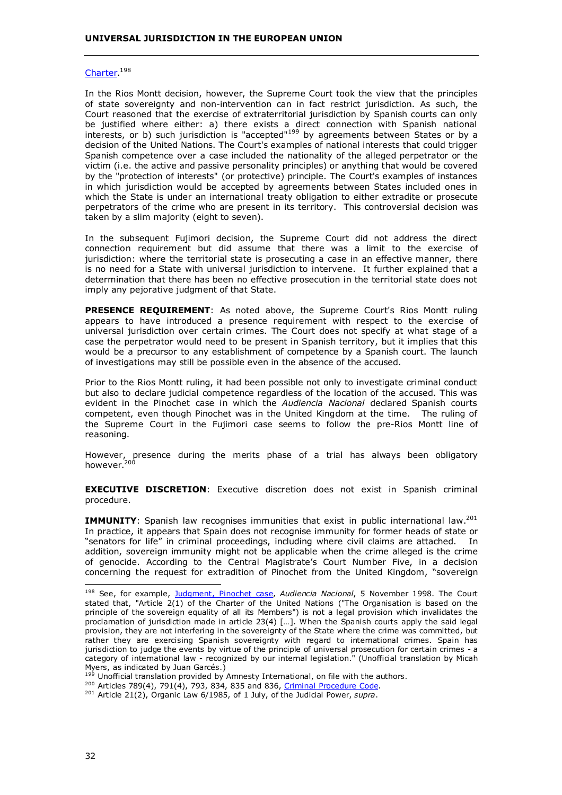#### [Charter.](http://www.un.org/aboutun/charter/)<sup>198</sup>

In the Rios Montt decision, however, the Supreme Court took the view that the principles of state sovereignty and non-intervention can in fact restrict jurisdiction. As such, the Court reasoned that the exercise of extraterritorial jurisdiction by Spanish courts can only be justified where either: a) there exists a direct connection with Spanish national interests, or b) such jurisdiction is "accepted"199 by agreements between States or by a decision of the United Nations. The Court's examples of national interests that could trigger Spanish competence over a case included the nationality of the alleged perpetrator or the victim (i.e. the active and passive personality principles) or anything that would be covered by the "protection of interests" (or protective) principle. The Court's examples of instances in which jurisdiction would be accepted by agreements between States included ones in which the State is under an international treaty obligation to either extradite or prosecute perpetrators of the crime who are present in its territory. This controversial decision was taken by a slim majority (eight to seven).

In the subsequent Fujimori decision, the Supreme Court did not address the direct connection requirement but did assume that there was a limit to the exercise of jurisdiction: where the territorial state is prosecuting a case in an effective manner, there is no need for a State with universal jurisdiction to intervene. It further explained that a determination that there has been no effective prosecution in the territorial state does not imply any pejorative judgment of that State.

**PRESENCE REQUIREMENT**: As noted above, the Supreme Court's Rios Montt ruling appears to have introduced a presence requirement with respect to the exercise of universal jurisdiction over certain crimes. The Court does not specify at what stage of a case the perpetrator would need to be present in Spanish territory, but it implies that this would be a precursor to any establishment of competence by a Spanish court. The launch of investigations may still be possible even in the absence of the accused.

Prior to the Rios Montt ruling, it had been possible not only to investigate criminal conduct but also to declare judicial competence regardless of the location of the accused. This was evident in the Pinochet case in which the *Audiencia Nacional* declared Spanish courts competent, even though Pinochet was in the United Kingdom at the time. The ruling of the Supreme Court in the Fujimori case seems to follow the pre-Rios Montt line of reasoning.

However, presence during the merits phase of a trial has always been obligatory however.<sup>200</sup>

**EXECUTIVE DISCRETION**: Executive discretion does not exist in Spanish criminal procedure.

**IMMUNITY**: Spanish law recognises immunities that exist in public international law.<sup>201</sup> In practice, it appears that Spain does not recognise immunity for former heads of state or "senators for life" in criminal proceedings, including where civil claims are attached. In addition, sovereign immunity might not be applicable when the crime alleged is the crime of genocide. According to the Central Magistrate's Court Number Five, in a decision concerning the request for extradition of Pinochet from the United Kingdom, "sovereign

<sup>198</sup> See, for example, [Judgment, Pinochet case](http://www.universaljurisdiction.info/index/Cases/Cases/Spain_-_Pinochet_case/Case_Doc_Summaries/95172,0), *Audiencia Nacional*, 5 November 1998. The Court stated that, "Article 2(1) of the Charter of the United Nations ("The Organisation is based on the principle of the sovereign equality of all its Members") is not a legal provision which invalidates the proclamation of jurisdiction made in article 23(4) […]. When the Spanish courts apply the said legal provision, they are not interfering in the sovereignty of the State where the crime was committed, but rather they are exercising Spanish sovereignty with regard to international crimes. Spain has jurisdiction to judge the events by virtue of the principle of universal prosecution for certain crimes - a category of international law - recognized by our internal legislation." (Unofficial translation by Micah Myers, as indicated by Juan Garcés.)<br><sup>199</sup> Unofficial translation provided by Amnesty International, on file with the authors.

<sup>200</sup> Articles 789(4), 791(4), 793, 834, 835 and 836, [Criminal Procedure Code](http://www.universaljurisdiction.info/index/Laws/Law_summaries/80445,0).

<sup>201</sup> Article 21(2), Organic Law 6/1985, of 1 July, of the Judicial Power, *supra*.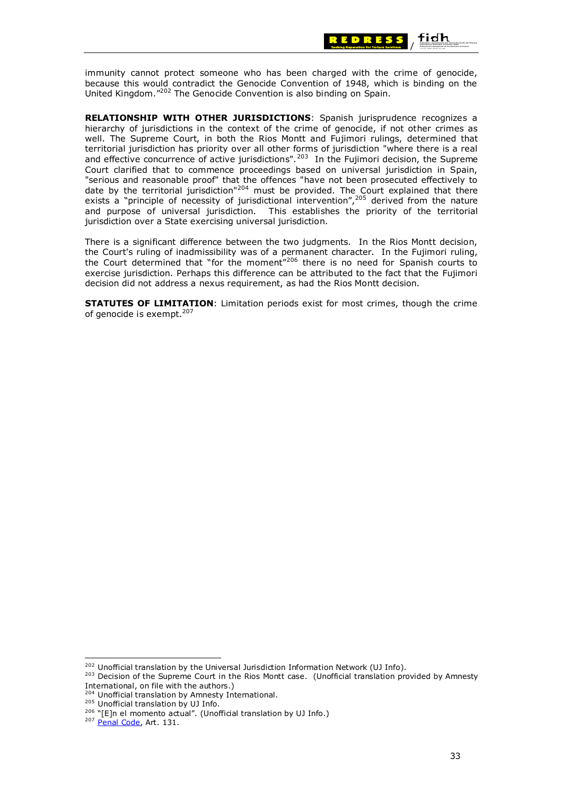

immunity cannot protect someone who has been charged with the crime of genocide, because this would contradict the Genocide Convention of 1948, which is binding on the United Kingdom."202 The Genocide Convention is also binding on Spain.

**RELATIONSHIP WITH OTHER JURISDICTIONS**: Spanish jurisprudence recognizes a hierarchy of jurisdictions in the context of the crime of genocide, if not other crimes as well. The Supreme Court, in both the Rios Montt and Fujimori rulings, determined that territorial jurisdiction has priority over all other forms of jurisdiction "where there is a real and effective concurrence of active jurisdictions".<sup>203</sup> In the Fujimori decision, the Supreme Court clarified that to commence proceedings based on universal jurisdiction in Spain, "serious and reasonable proof" that the offences "have not been prosecuted effectively to date by the territorial jurisdiction"<sup>204</sup> must be provided. The Court explained that there exists a "principle of necessity of jurisdictional intervention",<sup>205</sup> derived from the nature and purpose of universal jurisdiction. This establishes the priority of the territorial jurisdiction over a State exercising universal jurisdiction.

There is a significant difference between the two judgments. In the Rios Montt decision, the Court's ruling of inadmissibility was of a permanent character. In the Fujimori ruling, the Court determined that "for the moment"206 there is no need for Spanish courts to exercise jurisdiction. Perhaps this difference can be attributed to the fact that the Fujimori decision did not address a nexus requirement, as had the Rios Montt decision.

**STATUTES OF LIMITATION**: Limitation periods exist for most crimes, though the crime of genocide is exempt.<sup>207</sup>

<sup>&</sup>lt;sup>202</sup> Unofficial translation by the Universal Jurisdiction Information Network (UJ Info).<br><sup>203</sup> Decision of the Supreme Court in the Rios Montt case. (Unofficial translation provided by Amnesty International, on file with the authors.)

<sup>&</sup>lt;sup>204</sup> Unofficial translation by Amnesty International.<br><sup>205</sup> Unofficial translation by UJ Info.<br><sup>206</sup> "[E]n el momento actual". (Unofficial translation by UJ Info.) <sup>207</sup> [Penal Code](http://www.igsap.map.es/cia/dispo/7734.htm), Art. 131.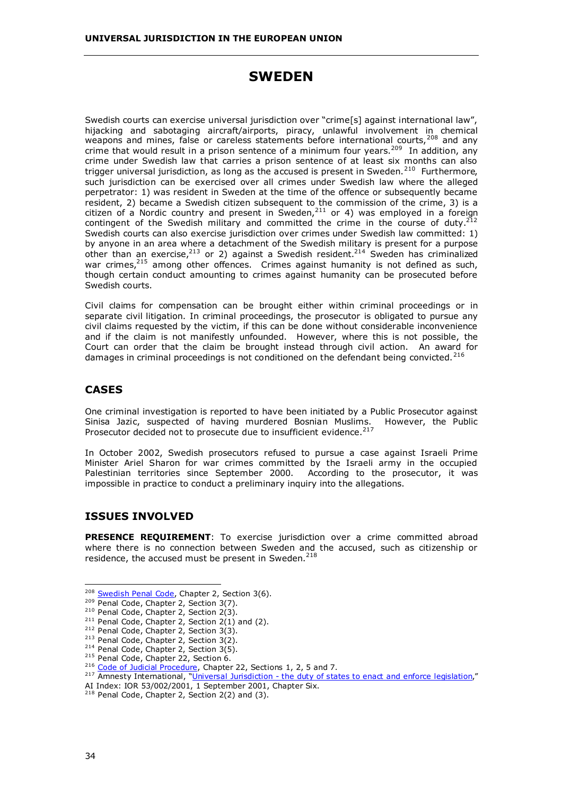# **SWEDEN**

<span id="page-39-0"></span>Swedish courts can exercise universal jurisdiction over "crime[s] against international law", hijacking and sabotaging aircraft/airports, piracy, unlawful involvement in chemical weapons and mines, false or careless statements before international courts, <sup>208</sup> and any crime that would result in a prison sentence of a minimum four years.<sup>209</sup> In addition, any crime under Swedish law that carries a prison sentence of at least six months can also trigger universal jurisdiction, as long as the accused is present in Sweden.<sup>210</sup> Furthermore, such jurisdiction can be exercised over all crimes under Swedish law where the alleged perpetrator: 1) was resident in Sweden at the time of the offence or subsequently became resident, 2) became a Swedish citizen subsequent to the commission of the crime, 3) is a citizen of a Nordic country and present in Sweden,  $2^{11}$  or 4) was employed in a foreign contingent of the Swedish military and committed the crime in the course of duty.<sup>2</sup> Swedish courts can also exercise jurisdiction over crimes under Swedish law committed: 1) by anyone in an area where a detachment of the Swedish military is present for a purpose other than an exercise, $2^{13}$  or 2) against a Swedish resident. $2^{14}$  Sweden has criminalized war crimes,<sup>215</sup> among other offences. Crimes against humanity is not defined as such, though certain conduct amounting to crimes against humanity can be prosecuted before Swedish courts.

Civil claims for compensation can be brought either within criminal proceedings or in separate civil litigation. In criminal proceedings, the prosecutor is obligated to pursue any civil claims requested by the victim, if this can be done without considerable inconvenience and if the claim is not manifestly unfounded. However, where this is not possible, the Court can order that the claim be brought instead through civil action. An award for damages in criminal proceedings is not conditioned on the defendant being convicted.<sup>216</sup>

### **CASES**

One criminal investigation is reported to have been initiated by a Public Prosecutor against Sinisa Jazic, suspected of having murdered Bosnian Muslims. However, the Public Prosecutor decided not to prosecute due to insufficient evidence. $^{217}$ 

In October 2002, Swedish prosecutors refused to pursue a case against Israeli Prime Minister Ariel Sharon for war crimes committed by the Israeli army in the occupied Palestinian territories since September 2000. According to the prosecutor, it was impossible in practice to conduct a preliminary inquiry into the allegations.

# **ISSUES INVOLVED**

**PRESENCE REQUIREMENT**: To exercise jurisdiction over a crime committed abroad where there is no connection between Sweden and the accused, such as citizenship or residence, the accused must be present in Sweden.<sup>218</sup>

<sup>&</sup>lt;sup>208</sup> Swedish Penal Code, Chapter 2, Section 3(6).<br>
<sup>209</sup> Penal Code, Chapter 2, Section 3(7).<br>
<sup>210</sup> Penal Code, Chapter 2, Section 2(3).<br>
<sup>211</sup> Penal Code, Chapter 2, Section 2(1) and (2).<br>
<sup>212</sup> Penal Code, Chapter 2,

AI Index: IOR 53/002/2001, 1 September 2001, Chapter Six.

 $218$  Penal Code, Chapter 2, Section 2(2) and (3).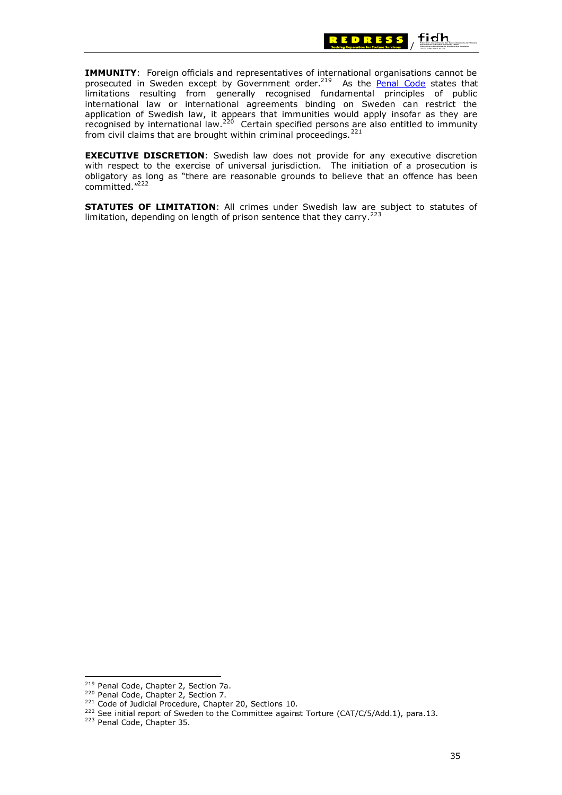

**IMMUNITY:** Foreign officials and representatives of international organisations cannot be prosecuted in Sweden except by Government order.<sup>219</sup> As the [Penal Code](http://justitie.regeringen.se/propositionermm/ds/pdf/Penalcode.pdf) states that limitations resulting from generally recognised fundamental principles of public international law or international agreements binding on Sweden can restrict the application of Swedish law, it appears that immunities would apply insofar as they are recognised by international law.<sup>220</sup> Certain specified persons are also entitled to immunity from civil claims that are brought within criminal proceedings.  $221$ 

**EXECUTIVE DISCRETION**: Swedish law does not provide for any executive discretion with respect to the exercise of universal jurisdiction. The initiation of a prosecution is obligatory as long as "there are reasonable grounds to believe that an offence has been committed."222

**STATUTES OF LIMITATION**: All crimes under Swedish law are subject to statutes of limitation, depending on length of prison sentence that they carry.<sup>223</sup>

<sup>&</sup>lt;sup>219</sup> Penal Code, Chapter 2, Section 7a.<br><sup>220</sup> Penal Code, Chapter 2, Section 7.<br><sup>221</sup> Code of Judicial Procedure, Chapter 20, Sections 10.<br><sup>222</sup> See initial report of Sweden to the Committee against Torture (CAT/C/5/Add.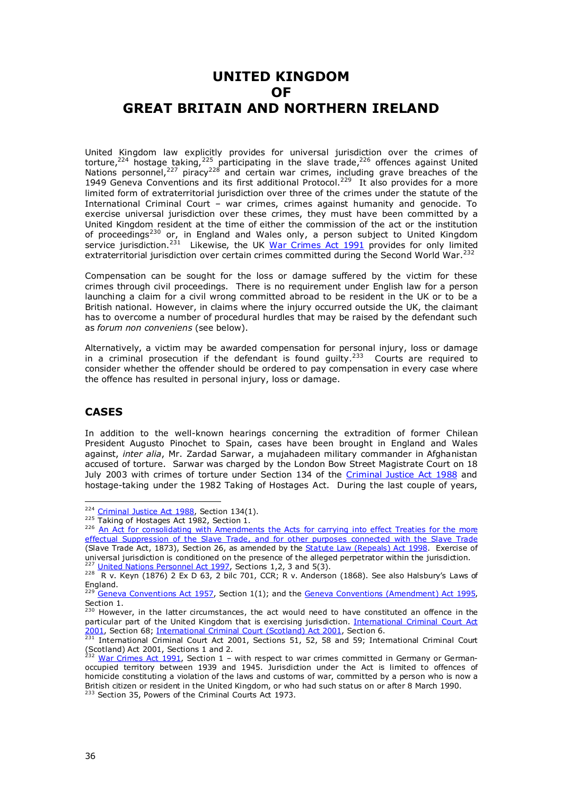# <span id="page-41-0"></span>**UNITED KINGDOM OF GREAT BRITAIN AND NORTHERN IRELAND**

United Kingdom law explicitly provides for universal jurisdiction over the crimes of torture,<sup>224</sup> hostage taking,<sup>225</sup> participating in the slave trade,<sup>226</sup> offences against United Nations personnel,<sup>227</sup> piracy<sup>228</sup> and certain war crimes, including grave breaches of the 1949 Geneva Conventions and its first additional Protocol.<sup>229</sup> It also provides for a more limited form of extraterritorial jurisdiction over three of the crimes under the statute of the International Criminal Court – war crimes, crimes against humanity and genocide. To exercise universal jurisdiction over these crimes, they must have been committed by a United Kingdom resident at the time of either the commission of the act or the institution of proceedings<sup>230</sup> or, in England and Wales only, a person subject to United Kingdom service jurisdiction.<sup>231</sup> Likewise, the UK [War Crimes Act 1991](http://www.hmso.gov.uk/acts/acts1991/Ukpga_19910013_en_1.htm#end) provides for only limited extraterritorial jurisdiction over certain crimes committed during the Second World War.<sup>2</sup>

Compensation can be sought for the loss or damage suffered by the victim for these crimes through civil proceedings. There is no requirement under English law for a person launching a claim for a civil wrong committed abroad to be resident in the UK or to be a British national. However, in claims where the injury occurred outside the UK, the claimant has to overcome a number of procedural hurdles that may be raised by the defendant such as *forum non conveniens* (see below).

Alternatively, a victim may be awarded compensation for personal injury, loss or damage in a criminal prosecution if the defendant is found quilty.<sup>233</sup> Courts are required to consider whether the offender should be ordered to pay compensation in every case where the offence has resulted in personal injury, loss or damage.

## **CASES**

In addition to the well-known hearings concerning the extradition of former Chilean President Augusto Pinochet to Spain, cases have been brought in England and Wales against, *inter alia*, Mr. Zardad Sarwar, a mujahadeen military commander in Afghanistan accused of torture. Sarwar was charged by the London Bow Street Magistrate Court on 18 July 2003 with crimes of torture under Section 134 of the [Criminal Justice Act 1988](http://www.hmso.gov.uk/acts/acts1988/Ukpga_19880033_en_1.htm) and hostage-taking under the 1982 Taking of Hostages Act. During the last couple of years,

<sup>&</sup>lt;sup>224</sup> Criminal Justice Act 1988, Section 134(1).<br><sup>225</sup> Taking of Hostages Act 1982, Section 1.<br><sup>226</sup> An Act for consolidating with Amendments the Acts for carrying into effect Treaties for the more [effectual Suppression of the Slave Trade, and for other purposes connected with the Slave Trade](http://home.planet.nl/~pbdavis/Legis_19.htm) (Slave Trade Act, 1873), Section 26, as amended by the **Statute Law (Repeals) Act 1998**. Exercise of universal jurisdiction is conditioned on the presence of the alleged perpetrator within the jurisdiction.<br><sup>227</sup> United Nations Personnel Act 1997, Sections 1,2, 3 and 5(3).

 $\frac{228}{R}$  V. Keyn (1876) 2 Ex D 63, 2 bilc 701, CCR; R v. Anderson (1868). See also Halsbury's Laws of England.

 $229$  [Geneva Conventions Act 1957](http://www.icrc.org/ihl-nat.nsf/e6ea7abc74de3fe041256486004ad09d/8a4aaee5c2dc9f88c1256b6d00303244?OpenDocument), Section 1(1); and the [Geneva Conventions \(Amendment\) Act 1995,](http://www.hmso.gov.uk/acts/acts1995/Ukpga_19950027_en_1.htm#end) Section 1.

<sup>&</sup>lt;sup>230</sup> However, in the latter circumstances, the act would need to have constituted an offence in the particular part of the United Kingdom that is exercising jurisdiction. International Criminal Court Act [2001,](http://www.hmso.gov.uk/acts/acts2001/20010017.htm) Section 68; [International Criminal Court \(Scotland\) Act 2001,](http://www.scotlandlegislation.hmso.gov.uk/legislation/scotland/acts2001/20010013.htm) Section 6.<br><sup>231</sup> International Criminal Court Act 2001, Sections 51, 52, 58 and 59; International Criminal Court

<sup>(</sup>Scotland) Act 2001, Sections 1 and 2.

[War Crimes Act 1991,](http://www.hmso.gov.uk/acts/acts1991/Ukpga_19910013_en_1.htm#end) Section 1 - with respect to war crimes committed in Germany or Germanoccupied territory between 1939 and 1945. Jurisdiction under the Act is limited to offences of homicide constituting a violation of the laws and customs of war, committed by a person who is now a British citizen or resident in the United Kingdom, or who had such status on or after 8 March 1990.

<sup>&</sup>lt;sup>233</sup> Section 35, Powers of the Criminal Courts Act 1973.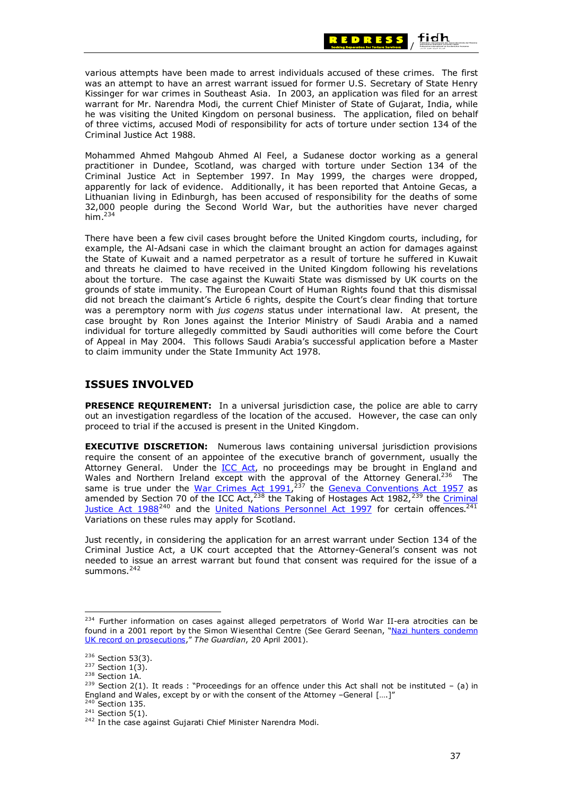

various attempts have been made to arrest individuals accused of these crimes. The first was an attempt to have an arrest warrant issued for former U.S. Secretary of State Henry Kissinger for war crimes in Southeast Asia. In 2003, an application was filed for an arrest warrant for Mr. Narendra Modi, the current Chief Minister of State of Gujarat, India, while he was visiting the United Kingdom on personal business. The application, filed on behalf of three victims, accused Modi of responsibility for acts of torture under section 134 of the Criminal Justice Act 1988.

Mohammed Ahmed Mahgoub Ahmed Al Feel, a Sudanese doctor working as a general practitioner in Dundee, Scotland, was charged with torture under Section 134 of the Criminal Justice Act in September 1997. In May 1999, the charges were dropped, apparently for lack of evidence. Additionally, it has been reported that Antoine Gecas, a Lithuanian living in Edinburgh, has been accused of responsibility for the deaths of some 32,000 people during the Second World War, but the authorities have never charged him. $234$ 

There have been a few civil cases brought before the United Kingdom courts, including, for example, the Al-Adsani case in which the claimant brought an action for damages against the State of Kuwait and a named perpetrator as a result of torture he suffered in Kuwait and threats he claimed to have received in the United Kingdom following his revelations about the torture. The case against the Kuwaiti State was dismissed by UK courts on the grounds of state immunity. The European Court of Human Rights found that this dismissal did not breach the claimant's Article 6 rights, despite the Court's clear finding that torture was a peremptory norm with *jus cogens* status under international law. At present, the case brought by Ron Jones against the Interior Ministry of Saudi Arabia and a named individual for torture allegedly committed by Saudi authorities will come before the Court of Appeal in May 2004. This follows Saudi Arabia's successful application before a Master to claim immunity under the State Immunity Act 1978.

# **ISSUES INVOLVED**

**PRESENCE REQUIREMENT:** In a universal jurisdiction case, the police are able to carry out an investigation regardless of the location of the accused. However, the case can only proceed to trial if the accused is present in the United Kingdom.

**EXECUTIVE DISCRETION:** Numerous laws containing universal jurisdiction provisions require the consent of an appointee of the executive branch of government, usually the Attorney General. Under the **ICC Act**, no proceedings may be brought in England and Wales and Northern Ireland except with the approval of the Attorney General.<sup>236</sup> The same is true under the War Crimes Act  $1991$ ,  $^{237}$  the [Geneva Conventions Act 1957](http://www.icrc.org/ihl-nat.nsf/e6ea7abc74de3fe041256486004ad09d/8a4aaee5c2dc9f88c1256b6d00303244?OpenDocument) as amended by Section 70 of the ICC Act,  $238$  the Taking of Hostages Act 1982,  $239$  the Criminal Justice Act  $1988^{240}$  and the [United Nations Personnel Act 1997](http://www.hmso.gov.uk/acts/acts1997/1997013.htm) for certain offences.<sup>241</sup> Variations on these rules may apply for Scotland.

Just recently, in considering the application for an arrest warrant under Section 134 of the Criminal Justice Act, a UK court accepted that the Attorney-General's consent was not needed to issue an arrest warrant but found that consent was required for the issue of a summons.<sup>242</sup>

<sup>&</sup>lt;sup>234</sup> Further information on cases against alleged perpetrators of World War II-era atrocities can be found in a 2001 report by the Simon Wiesenthal Centre (See Gerard Seenan, "[Nazi hunters condemn](http://www.guardian.co.uk/nazis/article/0,2763,475562,00.html)  [UK record on prosecutions,](http://www.guardian.co.uk/nazis/article/0,2763,475562,00.html)" *The Guardian*, 20 April 2001).

<sup>&</sup>lt;sup>236</sup> Section 53(3).<br><sup>237</sup> Section 1(3).<br><sup>238</sup> Section 1A.<br><sup>239</sup> Section 2(1). It reads : "Proceedings for an offence under this Act shall not be instituted – (a) in England and Wales, except by or with the consent of the Attorney -General  $[....]''$ <sup>240</sup> Section 135.

<sup>&</sup>lt;sup>241</sup> Section 5(1). 242 In the case against Gujarati Chief Minister Narendra Modi.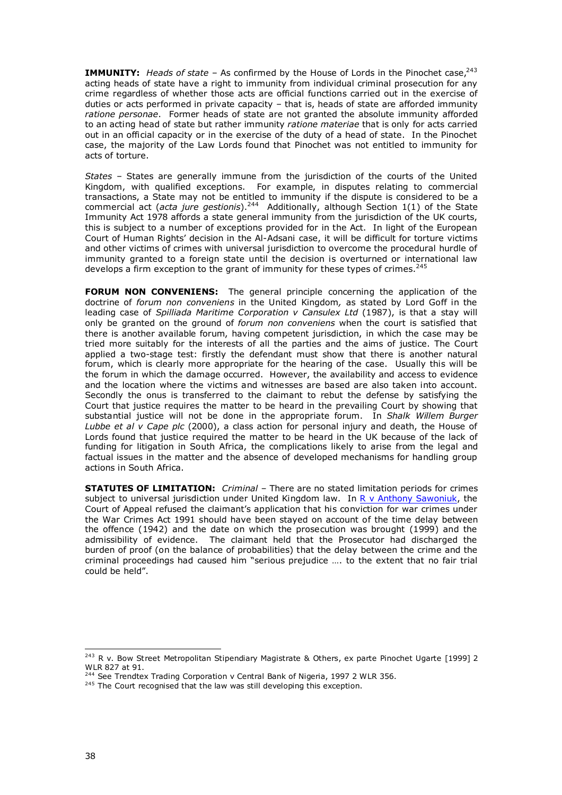**IMMUNITY:** *Heads of state* – As confirmed by the House of Lords in the Pinochet case,<sup>243</sup> acting heads of state have a right to immunity from individual criminal prosecution for any crime regardless of whether those acts are official functions carried out in the exercise of duties or acts performed in private capacity – that is, heads of state are afforded immunity *ratione personae*. Former heads of state are not granted the absolute immunity afforded to an acting head of state but rather immunity *ratione materiae* that is only for acts carried out in an official capacity or in the exercise of the duty of a head of state. In the Pinochet case, the majority of the Law Lords found that Pinochet was not entitled to immunity for acts of torture.

*States* – States are generally immune from the jurisdiction of the courts of the United Kingdom, with qualified exceptions. For example, in disputes relating to commercial transactions, a State may not be entitled to immunity if the dispute is considered to be a commercial act (*acta jure gestionis*).<sup>244</sup> Additionally, although Section 1(1) of the State Immunity Act 1978 affords a state general immunity from the jurisdiction of the UK courts, this is subject to a number of exceptions provided for in the Act. In light of the European Court of Human Rights' decision in the Al-Adsani case, it will be difficult for torture victims and other victims of crimes with universal jurisdiction to overcome the procedural hurdle of immunity granted to a foreign state until the decision is overturned or international law develops a firm exception to the grant of immunity for these types of crimes. $245$ 

**FORUM NON CONVENIENS:** The general principle concerning the application of the doctrine of *forum non conveniens* in the United Kingdom*,* as stated by Lord Goff in the leading case of *Spilliada Maritime Corporation v Cansulex Ltd* (1987), is that a stay will only be granted on the ground of *forum non conveniens* when the court is satisfied that there is another available forum, having competent jurisdiction, in which the case may be tried more suitably for the interests of all the parties and the aims of justice. The Court applied a two-stage test: firstly the defendant must show that there is another natural forum, which is clearly more appropriate for the hearing of the case. Usually this will be the forum in which the damage occurred. However, the availability and access to evidence and the location where the victims and witnesses are based are also taken into account. Secondly the onus is transferred to the claimant to rebut the defense by satisfying the Court that justice requires the matter to be heard in the prevailing Court by showing that substantial justice will not be done in the appropriate forum. In *Shalk Willem Burger Lubbe et al v Cape plc* (2000), a class action for personal injury and death, the House of Lords found that justice required the matter to be heard in the UK because of the lack of funding for litigation in South Africa, the complications likely to arise from the legal and factual issues in the matter and the absence of developed mechanisms for handling group actions in South Africa.

**STATUTES OF LIMITATION:** *Criminal* – There are no stated limitation periods for crimes subject to universal jurisdiction under United Kingdom law. In R v [Anthony Sawoniuk,](http://www.universaljurisdiction.info/index/Cases/Cases/United_Kingdom_-_Sawoniuk_case/Case_Doc_Summaries/118163,0) the Court of Appeal refused the claimant's application that his conviction for war crimes under the War Crimes Act 1991 should have been stayed on account of the time delay between the offence (1942) and the date on which the prosecution was brought (1999) and the admissibility of evidence. The claimant held that the Prosecutor had discharged the burden of proof (on the balance of probabilities) that the delay between the crime and the criminal proceedings had caused him "serious prejudice …. to the extent that no fair trial could be held".

<sup>&</sup>lt;sup>243</sup> R v. Bow Street Metropolitan Stipendiary Magistrate & Others, ex parte Pinochet Ugarte [1999] 2 WLR 827 at 91.<br><sup>244</sup> See Trendtex Trading Corporation v Central Bank of Nigeria, 1997 2 WLR 356.

 $245$  The Court recognised that the law was still developing this exception.